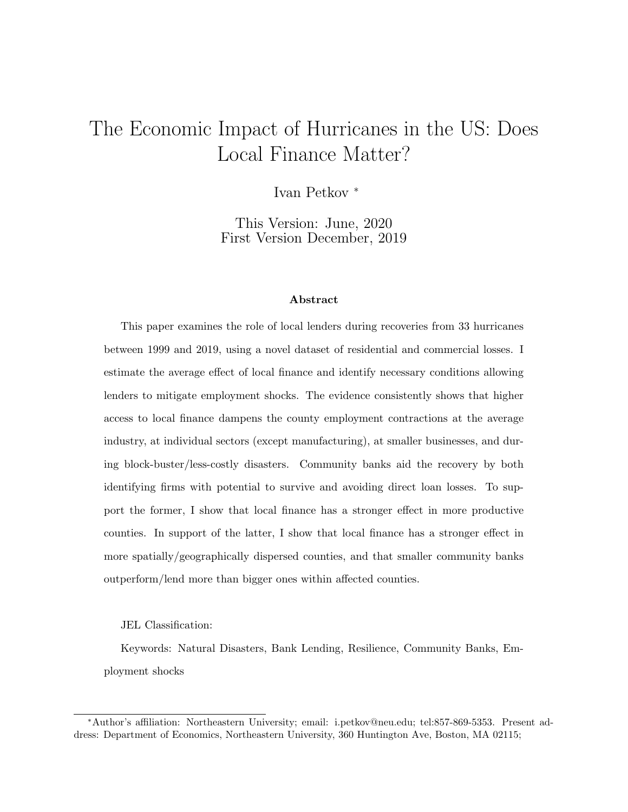# The Economic Impact of Hurricanes in the US: Does Local Finance Matter?

Ivan Petkov <sup>∗</sup>

This Version: June, 2020 First Version December, 2019

#### Abstract

This paper examines the role of local lenders during recoveries from 33 hurricanes between 1999 and 2019, using a novel dataset of residential and commercial losses. I estimate the average effect of local finance and identify necessary conditions allowing lenders to mitigate employment shocks. The evidence consistently shows that higher access to local finance dampens the county employment contractions at the average industry, at individual sectors (except manufacturing), at smaller businesses, and during block-buster/less-costly disasters. Community banks aid the recovery by both identifying firms with potential to survive and avoiding direct loan losses. To support the former, I show that local finance has a stronger effect in more productive counties. In support of the latter, I show that local finance has a stronger effect in more spatially/geographically dispersed counties, and that smaller community banks outperform/lend more than bigger ones within affected counties.

JEL Classification:

Keywords: Natural Disasters, Bank Lending, Resilience, Community Banks, Employment shocks

<sup>∗</sup>Author's affiliation: Northeastern University; email: i.petkov@neu.edu; tel:857-869-5353. Present address: Department of Economics, Northeastern University, 360 Huntington Ave, Boston, MA 02115;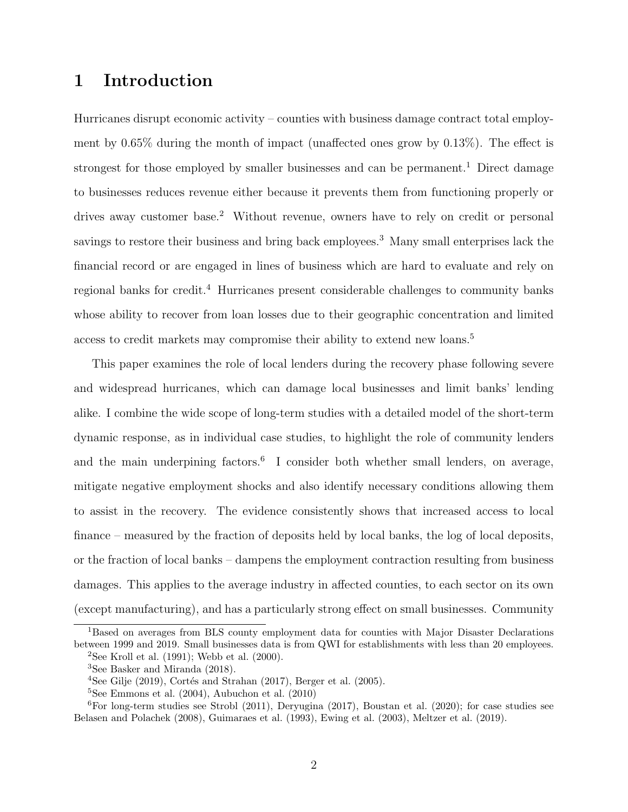# 1 Introduction

Hurricanes disrupt economic activity – counties with business damage contract total employment by 0.65% during the month of impact (unaffected ones grow by 0.13%). The effect is strongest for those employed by smaller businesses and can be permanent.<sup>1</sup> Direct damage to businesses reduces revenue either because it prevents them from functioning properly or drives away customer base.<sup>2</sup> Without revenue, owners have to rely on credit or personal savings to restore their business and bring back employees.<sup>3</sup> Many small enterprises lack the financial record or are engaged in lines of business which are hard to evaluate and rely on regional banks for credit.<sup>4</sup> Hurricanes present considerable challenges to community banks whose ability to recover from loan losses due to their geographic concentration and limited access to credit markets may compromise their ability to extend new loans.<sup>5</sup>

This paper examines the role of local lenders during the recovery phase following severe and widespread hurricanes, which can damage local businesses and limit banks' lending alike. I combine the wide scope of long-term studies with a detailed model of the short-term dynamic response, as in individual case studies, to highlight the role of community lenders and the main underpining factors.<sup>6</sup> I consider both whether small lenders, on average, mitigate negative employment shocks and also identify necessary conditions allowing them to assist in the recovery. The evidence consistently shows that increased access to local finance – measured by the fraction of deposits held by local banks, the log of local deposits, or the fraction of local banks – dampens the employment contraction resulting from business damages. This applies to the average industry in affected counties, to each sector on its own (except manufacturing), and has a particularly strong effect on small businesses. Community

<sup>1</sup>Based on averages from BLS county employment data for counties with Major Disaster Declarations between 1999 and 2019. Small businesses data is from QWI for establishments with less than 20 employees.

<sup>&</sup>lt;sup>2</sup>See Kroll et al. (1991); Webb et al. (2000).

<sup>3</sup>See Basker and Miranda (2018).

<sup>&</sup>lt;sup>4</sup>See Gilje (2019), Cortés and Strahan (2017), Berger et al. (2005).

 $5$ See Emmons et al. (2004), Aubuchon et al. (2010)

<sup>&</sup>lt;sup>6</sup>For long-term studies see Strobl (2011), Deryugina (2017), Boustan et al. (2020); for case studies see Belasen and Polachek (2008), Guimaraes et al. (1993), Ewing et al. (2003), Meltzer et al. (2019).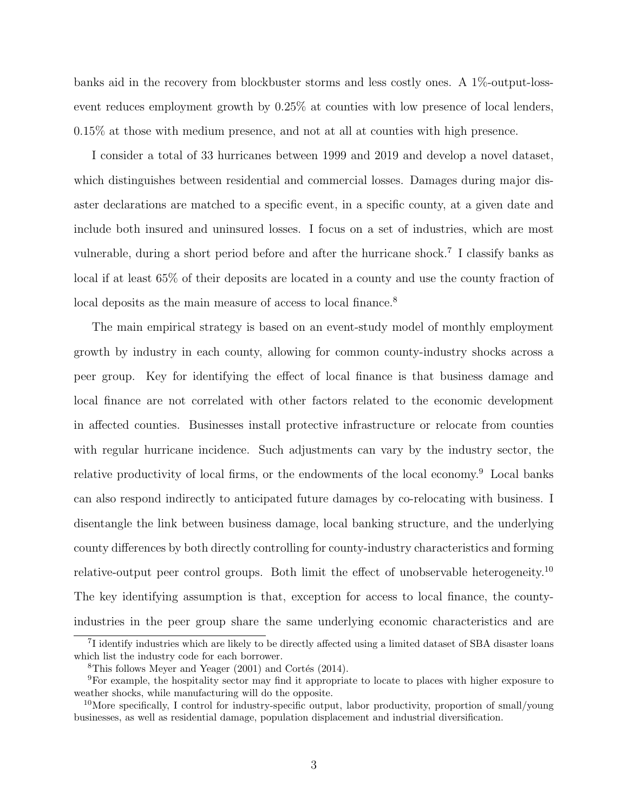banks aid in the recovery from blockbuster storms and less costly ones. A 1%-output-lossevent reduces employment growth by 0.25% at counties with low presence of local lenders, 0.15% at those with medium presence, and not at all at counties with high presence.

I consider a total of 33 hurricanes between 1999 and 2019 and develop a novel dataset, which distinguishes between residential and commercial losses. Damages during major disaster declarations are matched to a specific event, in a specific county, at a given date and include both insured and uninsured losses. I focus on a set of industries, which are most vulnerable, during a short period before and after the hurricane shock.<sup>7</sup> I classify banks as local if at least 65% of their deposits are located in a county and use the county fraction of local deposits as the main measure of access to local finance.<sup>8</sup>

The main empirical strategy is based on an event-study model of monthly employment growth by industry in each county, allowing for common county-industry shocks across a peer group. Key for identifying the effect of local finance is that business damage and local finance are not correlated with other factors related to the economic development in affected counties. Businesses install protective infrastructure or relocate from counties with regular hurricane incidence. Such adjustments can vary by the industry sector, the relative productivity of local firms, or the endowments of the local economy.<sup>9</sup> Local banks can also respond indirectly to anticipated future damages by co-relocating with business. I disentangle the link between business damage, local banking structure, and the underlying county differences by both directly controlling for county-industry characteristics and forming relative-output peer control groups. Both limit the effect of unobservable heterogeneity.<sup>10</sup> The key identifying assumption is that, exception for access to local finance, the countyindustries in the peer group share the same underlying economic characteristics and are

<sup>&</sup>lt;sup>7</sup>I identify industries which are likely to be directly affected using a limited dataset of SBA disaster loans which list the industry code for each borrower.

 ${}^{8}$ This follows Meyer and Yeager (2001) and Cortés (2014).

<sup>9</sup>For example, the hospitality sector may find it appropriate to locate to places with higher exposure to weather shocks, while manufacturing will do the opposite.

<sup>&</sup>lt;sup>10</sup>More specifically, I control for industry-specific output, labor productivity, proportion of small/young businesses, as well as residential damage, population displacement and industrial diversification.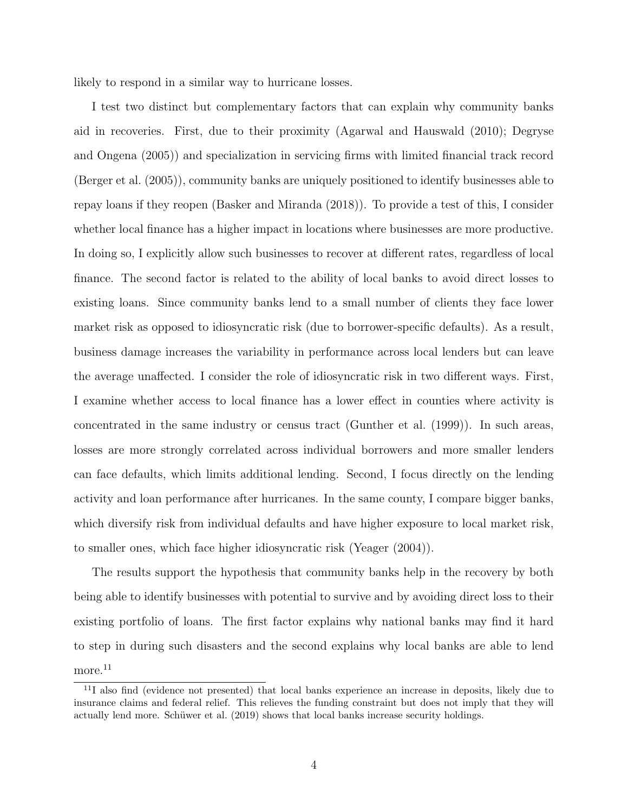likely to respond in a similar way to hurricane losses.

I test two distinct but complementary factors that can explain why community banks aid in recoveries. First, due to their proximity (Agarwal and Hauswald (2010); Degryse and Ongena (2005)) and specialization in servicing firms with limited financial track record (Berger et al. (2005)), community banks are uniquely positioned to identify businesses able to repay loans if they reopen (Basker and Miranda (2018)). To provide a test of this, I consider whether local finance has a higher impact in locations where businesses are more productive. In doing so, I explicitly allow such businesses to recover at different rates, regardless of local finance. The second factor is related to the ability of local banks to avoid direct losses to existing loans. Since community banks lend to a small number of clients they face lower market risk as opposed to idiosyncratic risk (due to borrower-specific defaults). As a result, business damage increases the variability in performance across local lenders but can leave the average unaffected. I consider the role of idiosyncratic risk in two different ways. First, I examine whether access to local finance has a lower effect in counties where activity is concentrated in the same industry or census tract (Gunther et al. (1999)). In such areas, losses are more strongly correlated across individual borrowers and more smaller lenders can face defaults, which limits additional lending. Second, I focus directly on the lending activity and loan performance after hurricanes. In the same county, I compare bigger banks, which diversify risk from individual defaults and have higher exposure to local market risk, to smaller ones, which face higher idiosyncratic risk (Yeager (2004)).

The results support the hypothesis that community banks help in the recovery by both being able to identify businesses with potential to survive and by avoiding direct loss to their existing portfolio of loans. The first factor explains why national banks may find it hard to step in during such disasters and the second explains why local banks are able to lend  $more.<sup>11</sup>$ 

<sup>&</sup>lt;sup>11</sup>I also find (evidence not presented) that local banks experience an increase in deposits, likely due to insurance claims and federal relief. This relieves the funding constraint but does not imply that they will actually lend more. Schüwer et al. (2019) shows that local banks increase security holdings.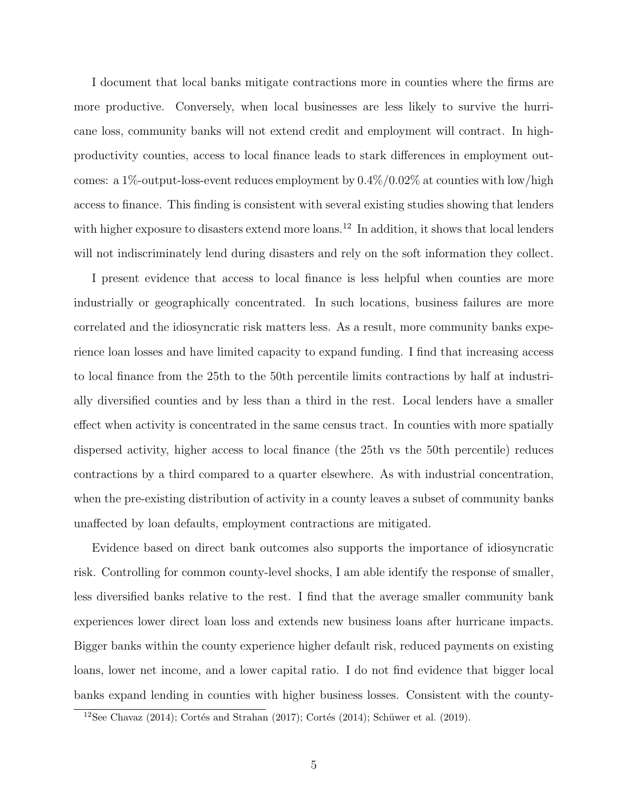I document that local banks mitigate contractions more in counties where the firms are more productive. Conversely, when local businesses are less likely to survive the hurricane loss, community banks will not extend credit and employment will contract. In highproductivity counties, access to local finance leads to stark differences in employment outcomes: a  $1\%$ -output-loss-event reduces employment by  $0.4\%/0.02\%$  at counties with low/high access to finance. This finding is consistent with several existing studies showing that lenders with higher exposure to disasters extend more loans.<sup>12</sup> In addition, it shows that local lenders will not indiscriminately lend during disasters and rely on the soft information they collect.

I present evidence that access to local finance is less helpful when counties are more industrially or geographically concentrated. In such locations, business failures are more correlated and the idiosyncratic risk matters less. As a result, more community banks experience loan losses and have limited capacity to expand funding. I find that increasing access to local finance from the 25th to the 50th percentile limits contractions by half at industrially diversified counties and by less than a third in the rest. Local lenders have a smaller effect when activity is concentrated in the same census tract. In counties with more spatially dispersed activity, higher access to local finance (the 25th vs the 50th percentile) reduces contractions by a third compared to a quarter elsewhere. As with industrial concentration, when the pre-existing distribution of activity in a county leaves a subset of community banks unaffected by loan defaults, employment contractions are mitigated.

Evidence based on direct bank outcomes also supports the importance of idiosyncratic risk. Controlling for common county-level shocks, I am able identify the response of smaller, less diversified banks relative to the rest. I find that the average smaller community bank experiences lower direct loan loss and extends new business loans after hurricane impacts. Bigger banks within the county experience higher default risk, reduced payments on existing loans, lower net income, and a lower capital ratio. I do not find evidence that bigger local banks expand lending in counties with higher business losses. Consistent with the county-

<sup>&</sup>lt;sup>12</sup>See Chavaz (2014); Cortés and Strahan (2017); Cortés (2014); Schüwer et al. (2019).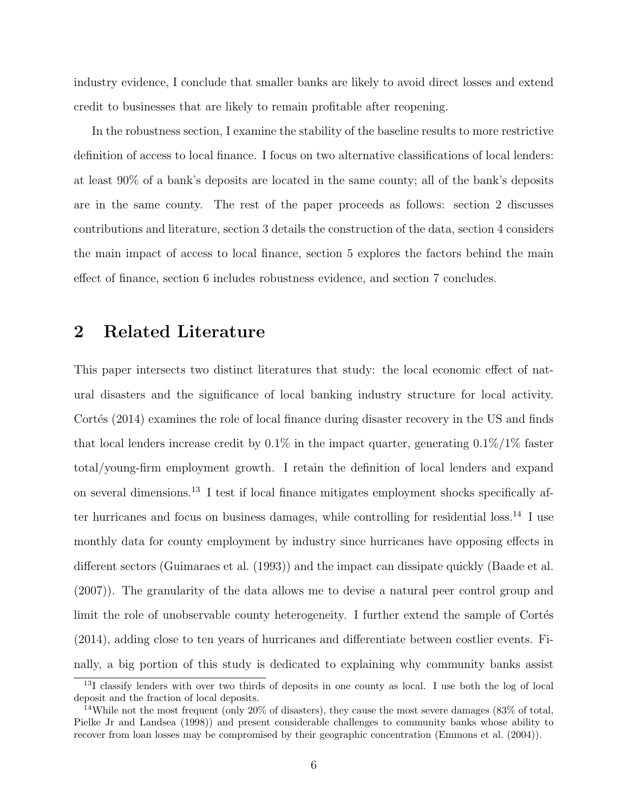industry evidence, I conclude that smaller banks are likely to avoid direct losses and extend credit to businesses that are likely to remain profitable after reopening.

In the robustness section, I examine the stability of the baseline results to more restrictive definition of access to local finance. I focus on two alternative classifications of local lenders: at least 90% of a bank's deposits are located in the same county; all of the bank's deposits are in the same county. The rest of the paper proceeds as follows: section 2 discusses contributions and literature, section 3 details the construction of the data, section 4 considers the main impact of access to local finance, section 5 explores the factors behind the main effect of finance, section 6 includes robustness evidence, and section 7 concludes.

# 2 Related Literature

This paper intersects two distinct literatures that study: the local economic effect of natural disasters and the significance of local banking industry structure for local activity. Cortés  $(2014)$  examines the role of local finance during disaster recovery in the US and finds that local lenders increase credit by  $0.1\%$  in the impact quarter, generating  $0.1\%/1\%$  faster total/young-firm employment growth. I retain the definition of local lenders and expand on several dimensions.<sup>13</sup> I test if local finance mitigates employment shocks specifically after hurricanes and focus on business damages, while controlling for residential loss.<sup>14</sup> I use monthly data for county employment by industry since hurricanes have opposing effects in different sectors (Guimaraes et al. (1993)) and the impact can dissipate quickly (Baade et al. (2007)). The granularity of the data allows me to devise a natural peer control group and limit the role of unobservable county heterogeneity. I further extend the sample of Cortés (2014), adding close to ten years of hurricanes and differentiate between costlier events. Finally, a big portion of this study is dedicated to explaining why community banks assist

<sup>&</sup>lt;sup>13</sup>I classify lenders with over two thirds of deposits in one county as local. I use both the log of local deposit and the fraction of local deposits.

<sup>&</sup>lt;sup>14</sup>While not the most frequent (only 20% of disasters), they cause the most severe damages (83% of total, Pielke Jr and Landsea (1998)) and present considerable challenges to community banks whose ability to recover from loan losses may be compromised by their geographic concentration (Emmons et al. (2004)).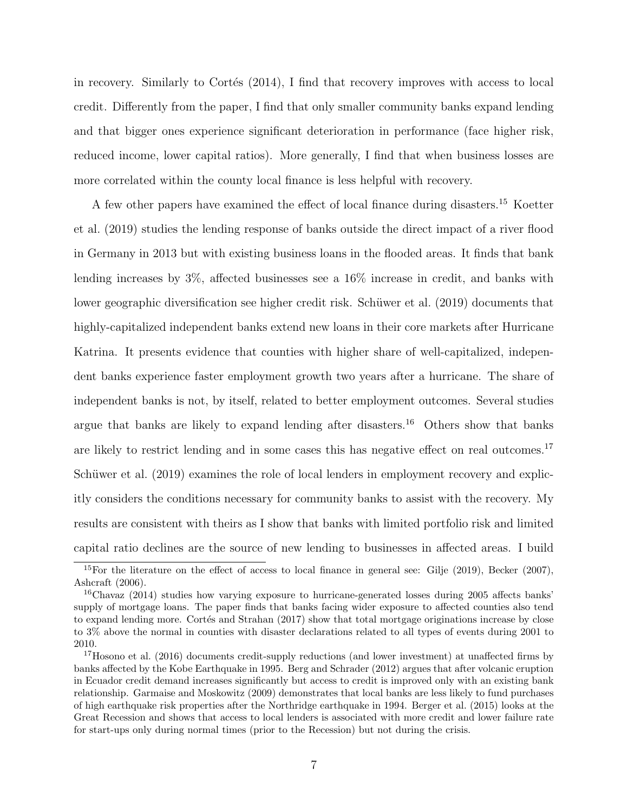in recovery. Similarly to Cortés  $(2014)$ , I find that recovery improves with access to local credit. Differently from the paper, I find that only smaller community banks expand lending and that bigger ones experience significant deterioration in performance (face higher risk, reduced income, lower capital ratios). More generally, I find that when business losses are more correlated within the county local finance is less helpful with recovery.

A few other papers have examined the effect of local finance during disasters.<sup>15</sup> Koetter et al. (2019) studies the lending response of banks outside the direct impact of a river flood in Germany in 2013 but with existing business loans in the flooded areas. It finds that bank lending increases by 3%, affected businesses see a 16% increase in credit, and banks with lower geographic diversification see higher credit risk. Schüwer et al. (2019) documents that highly-capitalized independent banks extend new loans in their core markets after Hurricane Katrina. It presents evidence that counties with higher share of well-capitalized, independent banks experience faster employment growth two years after a hurricane. The share of independent banks is not, by itself, related to better employment outcomes. Several studies argue that banks are likely to expand lending after disasters.<sup>16</sup> Others show that banks are likely to restrict lending and in some cases this has negative effect on real outcomes.<sup>17</sup> Schüwer et al. (2019) examines the role of local lenders in employment recovery and explicitly considers the conditions necessary for community banks to assist with the recovery. My results are consistent with theirs as I show that banks with limited portfolio risk and limited capital ratio declines are the source of new lending to businesses in affected areas. I build

<sup>&</sup>lt;sup>15</sup>For the literature on the effect of access to local finance in general see: Gilje (2019), Becker (2007), Ashcraft (2006).

<sup>16</sup>Chavaz (2014) studies how varying exposure to hurricane-generated losses during 2005 affects banks' supply of mortgage loans. The paper finds that banks facing wider exposure to affected counties also tend to expand lending more. Cortés and Strahan (2017) show that total mortgage originations increase by close to 3% above the normal in counties with disaster declarations related to all types of events during 2001 to 2010.

<sup>&</sup>lt;sup>17</sup>Hosono et al. (2016) documents credit-supply reductions (and lower investment) at unaffected firms by banks affected by the Kobe Earthquake in 1995. Berg and Schrader (2012) argues that after volcanic eruption in Ecuador credit demand increases significantly but access to credit is improved only with an existing bank relationship. Garmaise and Moskowitz (2009) demonstrates that local banks are less likely to fund purchases of high earthquake risk properties after the Northridge earthquake in 1994. Berger et al. (2015) looks at the Great Recession and shows that access to local lenders is associated with more credit and lower failure rate for start-ups only during normal times (prior to the Recession) but not during the crisis.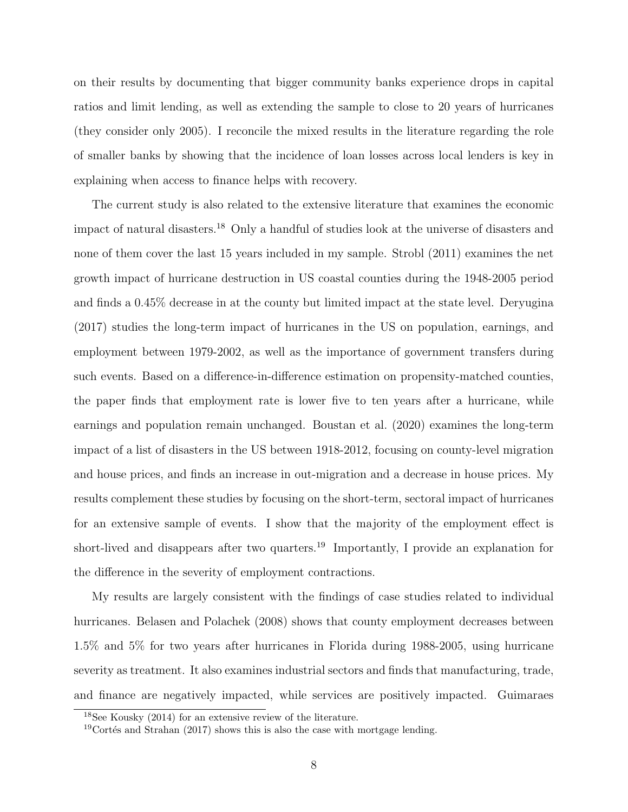on their results by documenting that bigger community banks experience drops in capital ratios and limit lending, as well as extending the sample to close to 20 years of hurricanes (they consider only 2005). I reconcile the mixed results in the literature regarding the role of smaller banks by showing that the incidence of loan losses across local lenders is key in explaining when access to finance helps with recovery.

The current study is also related to the extensive literature that examines the economic impact of natural disasters.<sup>18</sup> Only a handful of studies look at the universe of disasters and none of them cover the last 15 years included in my sample. Strobl (2011) examines the net growth impact of hurricane destruction in US coastal counties during the 1948-2005 period and finds a 0.45% decrease in at the county but limited impact at the state level. Deryugina (2017) studies the long-term impact of hurricanes in the US on population, earnings, and employment between 1979-2002, as well as the importance of government transfers during such events. Based on a difference-in-difference estimation on propensity-matched counties, the paper finds that employment rate is lower five to ten years after a hurricane, while earnings and population remain unchanged. Boustan et al. (2020) examines the long-term impact of a list of disasters in the US between 1918-2012, focusing on county-level migration and house prices, and finds an increase in out-migration and a decrease in house prices. My results complement these studies by focusing on the short-term, sectoral impact of hurricanes for an extensive sample of events. I show that the majority of the employment effect is short-lived and disappears after two quarters.<sup>19</sup> Importantly, I provide an explanation for the difference in the severity of employment contractions.

My results are largely consistent with the findings of case studies related to individual hurricanes. Belasen and Polachek (2008) shows that county employment decreases between 1.5% and 5% for two years after hurricanes in Florida during 1988-2005, using hurricane severity as treatment. It also examines industrial sectors and finds that manufacturing, trade, and finance are negatively impacted, while services are positively impacted. Guimaraes

<sup>18</sup>See Kousky (2014) for an extensive review of the literature.

 $19\text{Cort\'es}$  and Strahan (2017) shows this is also the case with mortgage lending.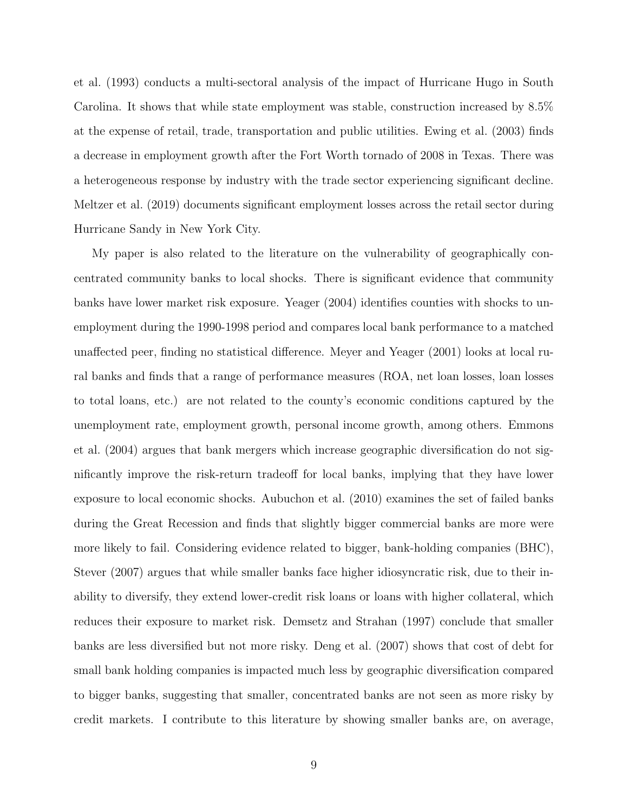et al. (1993) conducts a multi-sectoral analysis of the impact of Hurricane Hugo in South Carolina. It shows that while state employment was stable, construction increased by 8.5% at the expense of retail, trade, transportation and public utilities. Ewing et al. (2003) finds a decrease in employment growth after the Fort Worth tornado of 2008 in Texas. There was a heterogeneous response by industry with the trade sector experiencing significant decline. Meltzer et al. (2019) documents significant employment losses across the retail sector during Hurricane Sandy in New York City.

My paper is also related to the literature on the vulnerability of geographically concentrated community banks to local shocks. There is significant evidence that community banks have lower market risk exposure. Yeager (2004) identifies counties with shocks to unemployment during the 1990-1998 period and compares local bank performance to a matched unaffected peer, finding no statistical difference. Meyer and Yeager (2001) looks at local rural banks and finds that a range of performance measures (ROA, net loan losses, loan losses to total loans, etc.) are not related to the county's economic conditions captured by the unemployment rate, employment growth, personal income growth, among others. Emmons et al. (2004) argues that bank mergers which increase geographic diversification do not significantly improve the risk-return tradeoff for local banks, implying that they have lower exposure to local economic shocks. Aubuchon et al. (2010) examines the set of failed banks during the Great Recession and finds that slightly bigger commercial banks are more were more likely to fail. Considering evidence related to bigger, bank-holding companies (BHC), Stever (2007) argues that while smaller banks face higher idiosyncratic risk, due to their inability to diversify, they extend lower-credit risk loans or loans with higher collateral, which reduces their exposure to market risk. Demsetz and Strahan (1997) conclude that smaller banks are less diversified but not more risky. Deng et al. (2007) shows that cost of debt for small bank holding companies is impacted much less by geographic diversification compared to bigger banks, suggesting that smaller, concentrated banks are not seen as more risky by credit markets. I contribute to this literature by showing smaller banks are, on average,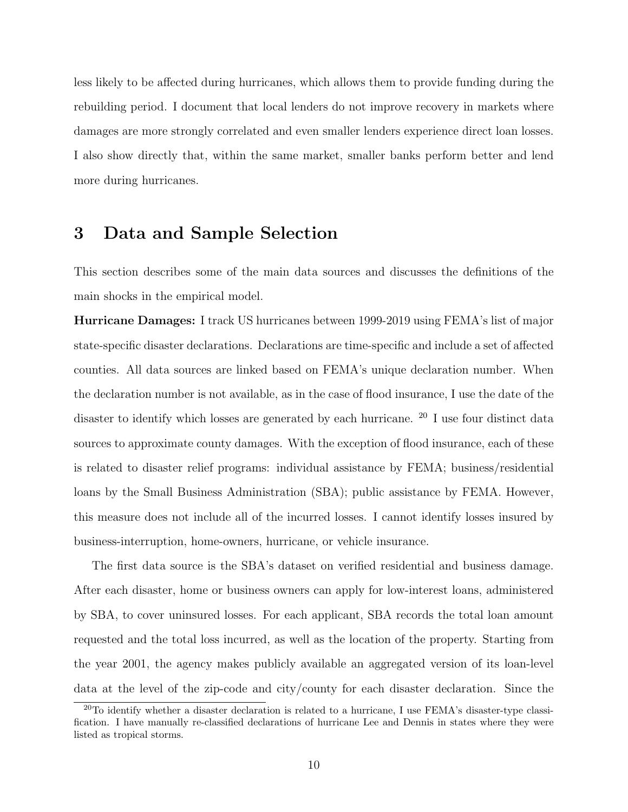less likely to be affected during hurricanes, which allows them to provide funding during the rebuilding period. I document that local lenders do not improve recovery in markets where damages are more strongly correlated and even smaller lenders experience direct loan losses. I also show directly that, within the same market, smaller banks perform better and lend more during hurricanes.

# 3 Data and Sample Selection

This section describes some of the main data sources and discusses the definitions of the main shocks in the empirical model.

Hurricane Damages: I track US hurricanes between 1999-2019 using FEMA's list of major state-specific disaster declarations. Declarations are time-specific and include a set of affected counties. All data sources are linked based on FEMA's unique declaration number. When the declaration number is not available, as in the case of flood insurance, I use the date of the disaster to identify which losses are generated by each hurricane. <sup>20</sup> I use four distinct data sources to approximate county damages. With the exception of flood insurance, each of these is related to disaster relief programs: individual assistance by FEMA; business/residential loans by the Small Business Administration (SBA); public assistance by FEMA. However, this measure does not include all of the incurred losses. I cannot identify losses insured by business-interruption, home-owners, hurricane, or vehicle insurance.

The first data source is the SBA's dataset on verified residential and business damage. After each disaster, home or business owners can apply for low-interest loans, administered by SBA, to cover uninsured losses. For each applicant, SBA records the total loan amount requested and the total loss incurred, as well as the location of the property. Starting from the year 2001, the agency makes publicly available an aggregated version of its loan-level data at the level of the zip-code and city/county for each disaster declaration. Since the

 $20$ To identify whether a disaster declaration is related to a hurricane, I use FEMA's disaster-type classification. I have manually re-classified declarations of hurricane Lee and Dennis in states where they were listed as tropical storms.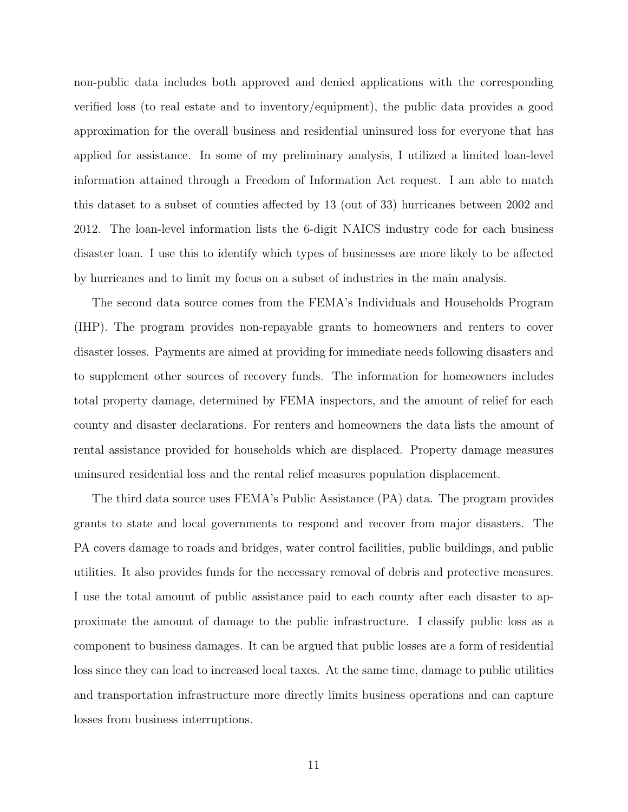non-public data includes both approved and denied applications with the corresponding verified loss (to real estate and to inventory/equipment), the public data provides a good approximation for the overall business and residential uninsured loss for everyone that has applied for assistance. In some of my preliminary analysis, I utilized a limited loan-level information attained through a Freedom of Information Act request. I am able to match this dataset to a subset of counties affected by 13 (out of 33) hurricanes between 2002 and 2012. The loan-level information lists the 6-digit NAICS industry code for each business disaster loan. I use this to identify which types of businesses are more likely to be affected by hurricanes and to limit my focus on a subset of industries in the main analysis.

The second data source comes from the FEMA's Individuals and Households Program (IHP). The program provides non-repayable grants to homeowners and renters to cover disaster losses. Payments are aimed at providing for immediate needs following disasters and to supplement other sources of recovery funds. The information for homeowners includes total property damage, determined by FEMA inspectors, and the amount of relief for each county and disaster declarations. For renters and homeowners the data lists the amount of rental assistance provided for households which are displaced. Property damage measures uninsured residential loss and the rental relief measures population displacement.

The third data source uses FEMA's Public Assistance (PA) data. The program provides grants to state and local governments to respond and recover from major disasters. The PA covers damage to roads and bridges, water control facilities, public buildings, and public utilities. It also provides funds for the necessary removal of debris and protective measures. I use the total amount of public assistance paid to each county after each disaster to approximate the amount of damage to the public infrastructure. I classify public loss as a component to business damages. It can be argued that public losses are a form of residential loss since they can lead to increased local taxes. At the same time, damage to public utilities and transportation infrastructure more directly limits business operations and can capture losses from business interruptions.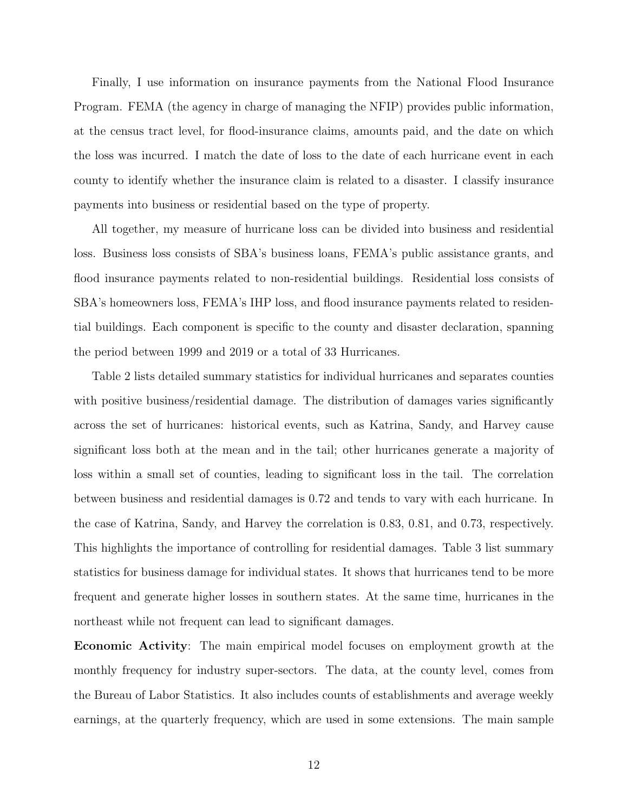Finally, I use information on insurance payments from the National Flood Insurance Program. FEMA (the agency in charge of managing the NFIP) provides public information, at the census tract level, for flood-insurance claims, amounts paid, and the date on which the loss was incurred. I match the date of loss to the date of each hurricane event in each county to identify whether the insurance claim is related to a disaster. I classify insurance payments into business or residential based on the type of property.

All together, my measure of hurricane loss can be divided into business and residential loss. Business loss consists of SBA's business loans, FEMA's public assistance grants, and flood insurance payments related to non-residential buildings. Residential loss consists of SBA's homeowners loss, FEMA's IHP loss, and flood insurance payments related to residential buildings. Each component is specific to the county and disaster declaration, spanning the period between 1999 and 2019 or a total of 33 Hurricanes.

Table 2 lists detailed summary statistics for individual hurricanes and separates counties with positive business/residential damage. The distribution of damages varies significantly across the set of hurricanes: historical events, such as Katrina, Sandy, and Harvey cause significant loss both at the mean and in the tail; other hurricanes generate a majority of loss within a small set of counties, leading to significant loss in the tail. The correlation between business and residential damages is 0.72 and tends to vary with each hurricane. In the case of Katrina, Sandy, and Harvey the correlation is 0.83, 0.81, and 0.73, respectively. This highlights the importance of controlling for residential damages. Table 3 list summary statistics for business damage for individual states. It shows that hurricanes tend to be more frequent and generate higher losses in southern states. At the same time, hurricanes in the northeast while not frequent can lead to significant damages.

Economic Activity: The main empirical model focuses on employment growth at the monthly frequency for industry super-sectors. The data, at the county level, comes from the Bureau of Labor Statistics. It also includes counts of establishments and average weekly earnings, at the quarterly frequency, which are used in some extensions. The main sample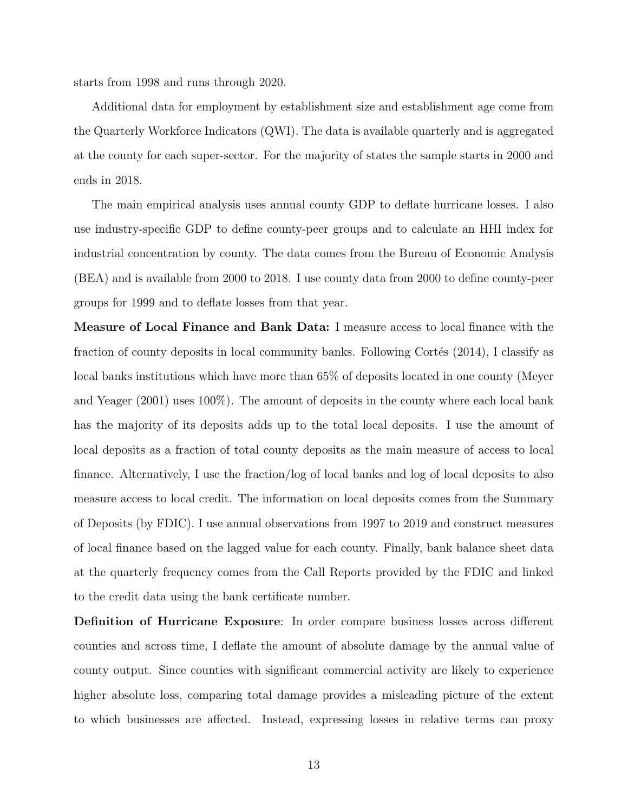starts from 1998 and runs through 2020.

Additional data for employment by establishment size and establishment age come from the Quarterly Workforce Indicators (QWI). The data is available quarterly and is aggregated at the county for each super-sector. For the majority of states the sample starts in 2000 and ends in 2018.

The main empirical analysis uses annual county GDP to deflate hurricane losses. I also use industry-specific GDP to define county-peer groups and to calculate an HHI index for industrial concentration by county. The data comes from the Bureau of Economic Analysis (BEA) and is available from 2000 to 2018. I use county data from 2000 to define county-peer groups for 1999 and to deflate losses from that year.

Measure of Local Finance and Bank Data: I measure access to local finance with the fraction of county deposits in local community banks. Following Cortés  $(2014)$ , I classify as local banks institutions which have more than 65% of deposits located in one county (Meyer and Yeager (2001) uses 100%). The amount of deposits in the county where each local bank has the majority of its deposits adds up to the total local deposits. I use the amount of local deposits as a fraction of total county deposits as the main measure of access to local finance. Alternatively, I use the fraction/log of local banks and log of local deposits to also measure access to local credit. The information on local deposits comes from the Summary of Deposits (by FDIC). I use annual observations from 1997 to 2019 and construct measures of local finance based on the lagged value for each county. Finally, bank balance sheet data at the quarterly frequency comes from the Call Reports provided by the FDIC and linked to the credit data using the bank certificate number.

Definition of Hurricane Exposure: In order compare business losses across different counties and across time, I deflate the amount of absolute damage by the annual value of county output. Since counties with significant commercial activity are likely to experience higher absolute loss, comparing total damage provides a misleading picture of the extent to which businesses are affected. Instead, expressing losses in relative terms can proxy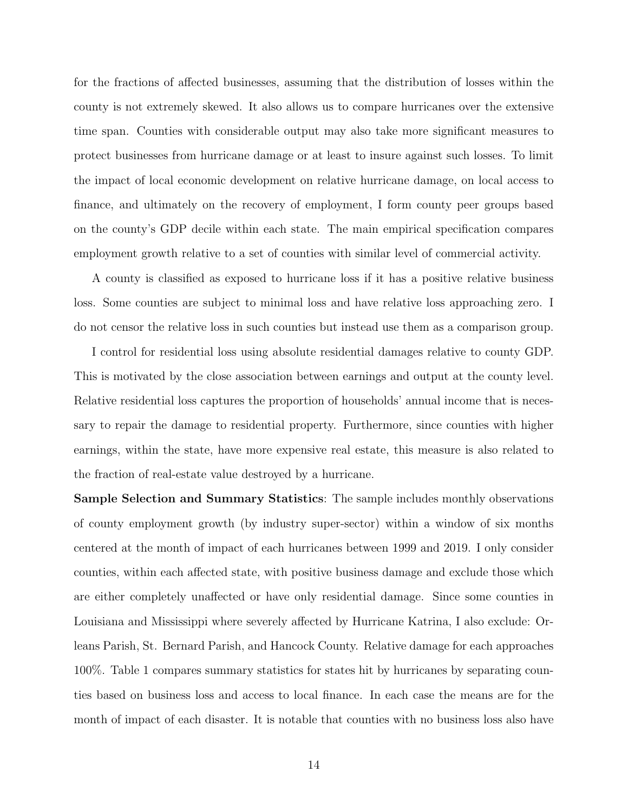for the fractions of affected businesses, assuming that the distribution of losses within the county is not extremely skewed. It also allows us to compare hurricanes over the extensive time span. Counties with considerable output may also take more significant measures to protect businesses from hurricane damage or at least to insure against such losses. To limit the impact of local economic development on relative hurricane damage, on local access to finance, and ultimately on the recovery of employment, I form county peer groups based on the county's GDP decile within each state. The main empirical specification compares employment growth relative to a set of counties with similar level of commercial activity.

A county is classified as exposed to hurricane loss if it has a positive relative business loss. Some counties are subject to minimal loss and have relative loss approaching zero. I do not censor the relative loss in such counties but instead use them as a comparison group.

I control for residential loss using absolute residential damages relative to county GDP. This is motivated by the close association between earnings and output at the county level. Relative residential loss captures the proportion of households' annual income that is necessary to repair the damage to residential property. Furthermore, since counties with higher earnings, within the state, have more expensive real estate, this measure is also related to the fraction of real-estate value destroyed by a hurricane.

Sample Selection and Summary Statistics: The sample includes monthly observations of county employment growth (by industry super-sector) within a window of six months centered at the month of impact of each hurricanes between 1999 and 2019. I only consider counties, within each affected state, with positive business damage and exclude those which are either completely unaffected or have only residential damage. Since some counties in Louisiana and Mississippi where severely affected by Hurricane Katrina, I also exclude: Orleans Parish, St. Bernard Parish, and Hancock County. Relative damage for each approaches 100%. Table 1 compares summary statistics for states hit by hurricanes by separating counties based on business loss and access to local finance. In each case the means are for the month of impact of each disaster. It is notable that counties with no business loss also have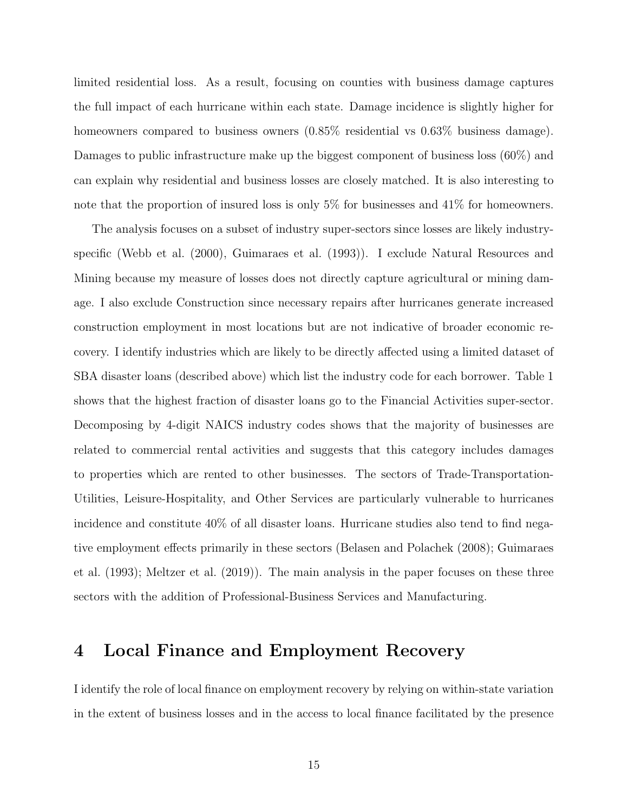limited residential loss. As a result, focusing on counties with business damage captures the full impact of each hurricane within each state. Damage incidence is slightly higher for homeowners compared to business owners  $(0.85\%$  residential vs  $0.63\%$  business damage). Damages to public infrastructure make up the biggest component of business loss (60%) and can explain why residential and business losses are closely matched. It is also interesting to note that the proportion of insured loss is only 5% for businesses and 41% for homeowners.

The analysis focuses on a subset of industry super-sectors since losses are likely industryspecific (Webb et al. (2000), Guimaraes et al. (1993)). I exclude Natural Resources and Mining because my measure of losses does not directly capture agricultural or mining damage. I also exclude Construction since necessary repairs after hurricanes generate increased construction employment in most locations but are not indicative of broader economic recovery. I identify industries which are likely to be directly affected using a limited dataset of SBA disaster loans (described above) which list the industry code for each borrower. Table 1 shows that the highest fraction of disaster loans go to the Financial Activities super-sector. Decomposing by 4-digit NAICS industry codes shows that the majority of businesses are related to commercial rental activities and suggests that this category includes damages to properties which are rented to other businesses. The sectors of Trade-Transportation-Utilities, Leisure-Hospitality, and Other Services are particularly vulnerable to hurricanes incidence and constitute 40% of all disaster loans. Hurricane studies also tend to find negative employment effects primarily in these sectors (Belasen and Polachek (2008); Guimaraes et al. (1993); Meltzer et al. (2019)). The main analysis in the paper focuses on these three sectors with the addition of Professional-Business Services and Manufacturing.

# 4 Local Finance and Employment Recovery

I identify the role of local finance on employment recovery by relying on within-state variation in the extent of business losses and in the access to local finance facilitated by the presence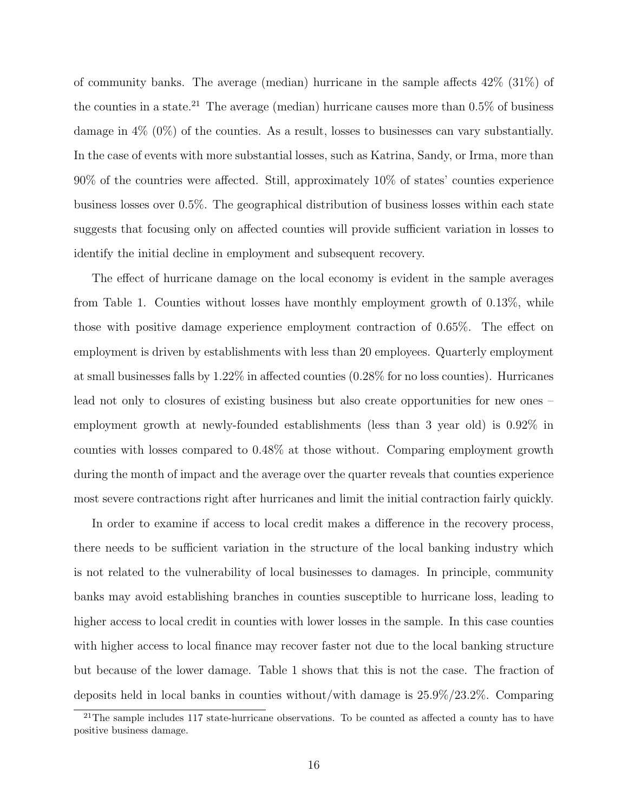of community banks. The average (median) hurricane in the sample affects 42% (31%) of the counties in a state.<sup>21</sup> The average (median) hurricane causes more than  $0.5\%$  of business damage in 4% (0%) of the counties. As a result, losses to businesses can vary substantially. In the case of events with more substantial losses, such as Katrina, Sandy, or Irma, more than 90% of the countries were affected. Still, approximately 10% of states' counties experience business losses over 0.5%. The geographical distribution of business losses within each state suggests that focusing only on affected counties will provide sufficient variation in losses to identify the initial decline in employment and subsequent recovery.

The effect of hurricane damage on the local economy is evident in the sample averages from Table 1. Counties without losses have monthly employment growth of 0.13%, while those with positive damage experience employment contraction of 0.65%. The effect on employment is driven by establishments with less than 20 employees. Quarterly employment at small businesses falls by 1.22% in affected counties (0.28% for no loss counties). Hurricanes lead not only to closures of existing business but also create opportunities for new ones – employment growth at newly-founded establishments (less than 3 year old) is 0.92% in counties with losses compared to 0.48% at those without. Comparing employment growth during the month of impact and the average over the quarter reveals that counties experience most severe contractions right after hurricanes and limit the initial contraction fairly quickly.

In order to examine if access to local credit makes a difference in the recovery process, there needs to be sufficient variation in the structure of the local banking industry which is not related to the vulnerability of local businesses to damages. In principle, community banks may avoid establishing branches in counties susceptible to hurricane loss, leading to higher access to local credit in counties with lower losses in the sample. In this case counties with higher access to local finance may recover faster not due to the local banking structure but because of the lower damage. Table 1 shows that this is not the case. The fraction of deposits held in local banks in counties without/with damage is 25.9%/23.2%. Comparing

 $21$ The sample includes 117 state-hurricane observations. To be counted as affected a county has to have positive business damage.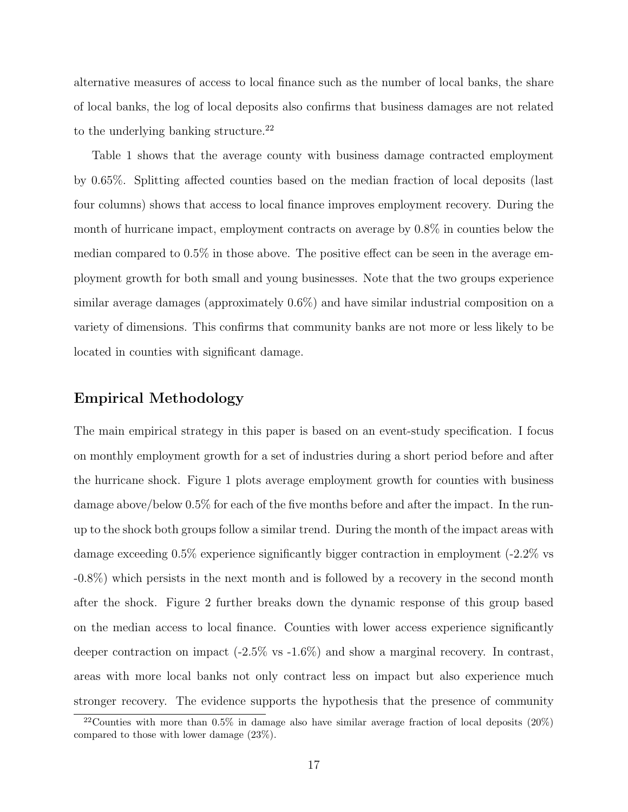alternative measures of access to local finance such as the number of local banks, the share of local banks, the log of local deposits also confirms that business damages are not related to the underlying banking structure.<sup>22</sup>

Table 1 shows that the average county with business damage contracted employment by 0.65%. Splitting affected counties based on the median fraction of local deposits (last four columns) shows that access to local finance improves employment recovery. During the month of hurricane impact, employment contracts on average by 0.8% in counties below the median compared to 0.5% in those above. The positive effect can be seen in the average employment growth for both small and young businesses. Note that the two groups experience similar average damages (approximately 0.6%) and have similar industrial composition on a variety of dimensions. This confirms that community banks are not more or less likely to be located in counties with significant damage.

## Empirical Methodology

The main empirical strategy in this paper is based on an event-study specification. I focus on monthly employment growth for a set of industries during a short period before and after the hurricane shock. Figure 1 plots average employment growth for counties with business damage above/below 0.5% for each of the five months before and after the impact. In the runup to the shock both groups follow a similar trend. During the month of the impact areas with damage exceeding 0.5% experience significantly bigger contraction in employment (-2.2% vs -0.8%) which persists in the next month and is followed by a recovery in the second month after the shock. Figure 2 further breaks down the dynamic response of this group based on the median access to local finance. Counties with lower access experience significantly deeper contraction on impact (-2.5% vs -1.6%) and show a marginal recovery. In contrast, areas with more local banks not only contract less on impact but also experience much stronger recovery. The evidence supports the hypothesis that the presence of community

<sup>&</sup>lt;sup>22</sup>Counties with more than  $0.5\%$  in damage also have similar average fraction of local deposits (20%) compared to those with lower damage (23%).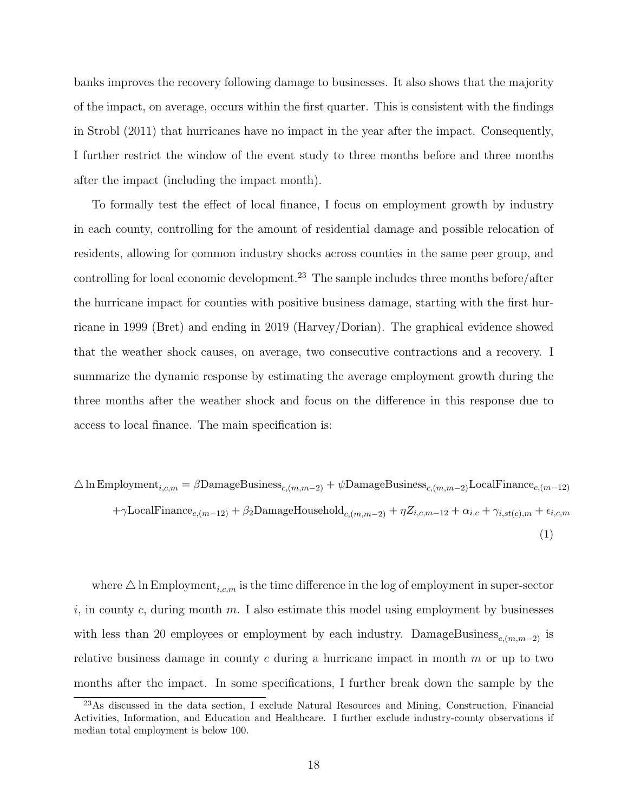banks improves the recovery following damage to businesses. It also shows that the majority of the impact, on average, occurs within the first quarter. This is consistent with the findings in Strobl (2011) that hurricanes have no impact in the year after the impact. Consequently, I further restrict the window of the event study to three months before and three months after the impact (including the impact month).

To formally test the effect of local finance, I focus on employment growth by industry in each county, controlling for the amount of residential damage and possible relocation of residents, allowing for common industry shocks across counties in the same peer group, and controlling for local economic development.<sup>23</sup> The sample includes three months before/after the hurricane impact for counties with positive business damage, starting with the first hurricane in 1999 (Bret) and ending in 2019 (Harvey/Dorian). The graphical evidence showed that the weather shock causes, on average, two consecutive contractions and a recovery. I summarize the dynamic response by estimating the average employment growth during the three months after the weather shock and focus on the difference in this response due to access to local finance. The main specification is:

$$
\Delta \ln \text{Employment}_{i,c,m} = \beta \text{DamageBusiness}_{c,(m,m-2)} + \psi \text{DamageBusiness}_{c,(m,m-2)} \text{LocalFinance}_{c,(m-12)} + \gamma \text{LocalFinance}_{c,(m-12)} + \beta_2 \text{DamageHousehold}_{c,(m,m-2)} + \eta Z_{i,c,m-12} + \alpha_{i,c} + \gamma_{i,st(c),m} + \epsilon_{i,c,m}
$$
\n
$$
(1)
$$

where  $\triangle$  ln Employment<sub>i,c,m</sub> is the time difference in the log of employment in super-sector i, in county c, during month  $m$ . I also estimate this model using employment by businesses with less than 20 employees or employment by each industry. DamageBusiness<sub>c, $(m,m-2)$ </sub> is relative business damage in county  $c$  during a hurricane impact in month  $m$  or up to two months after the impact. In some specifications, I further break down the sample by the

<sup>23</sup>As discussed in the data section, I exclude Natural Resources and Mining, Construction, Financial Activities, Information, and Education and Healthcare. I further exclude industry-county observations if median total employment is below 100.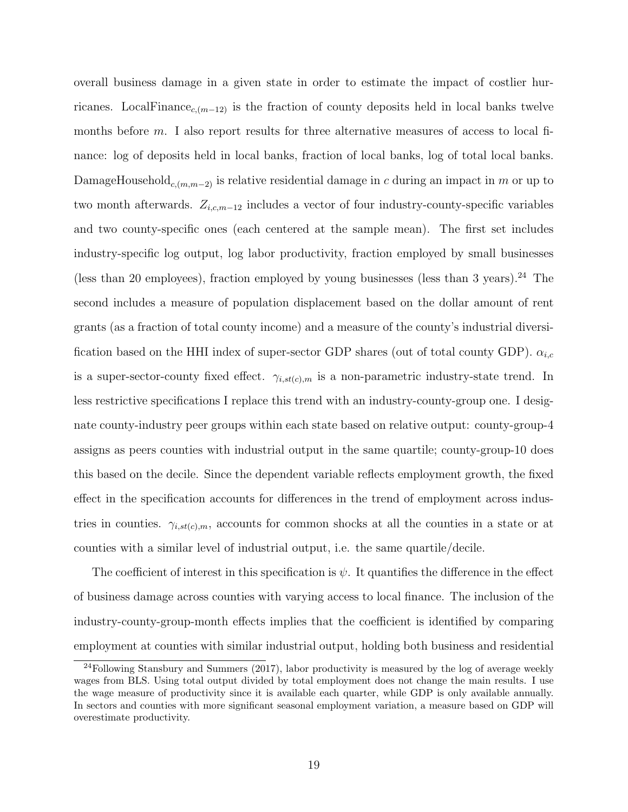overall business damage in a given state in order to estimate the impact of costlier hurricanes. LocalFinance<sub>c,(m-12)</sub> is the fraction of county deposits held in local banks twelve months before  $m$ . I also report results for three alternative measures of access to local finance: log of deposits held in local banks, fraction of local banks, log of total local banks. DamageHousehold<sub>c,(m,m-2)</sub> is relative residential damage in c during an impact in m or up to two month afterwards.  $Z_{i,c,m-12}$  includes a vector of four industry-county-specific variables and two county-specific ones (each centered at the sample mean). The first set includes industry-specific log output, log labor productivity, fraction employed by small businesses (less than 20 employees), fraction employed by young businesses (less than 3 years).<sup>24</sup> The second includes a measure of population displacement based on the dollar amount of rent grants (as a fraction of total county income) and a measure of the county's industrial diversification based on the HHI index of super-sector GDP shares (out of total county GDP).  $\alpha_{i,c}$ is a super-sector-county fixed effect.  $\gamma_{i,st(c),m}$  is a non-parametric industry-state trend. In less restrictive specifications I replace this trend with an industry-county-group one. I designate county-industry peer groups within each state based on relative output: county-group-4 assigns as peers counties with industrial output in the same quartile; county-group-10 does this based on the decile. Since the dependent variable reflects employment growth, the fixed effect in the specification accounts for differences in the trend of employment across industries in counties.  $\gamma_{i,st(c),m}$ , accounts for common shocks at all the counties in a state or at counties with a similar level of industrial output, i.e. the same quartile/decile.

The coefficient of interest in this specification is  $\psi$ . It quantifies the difference in the effect of business damage across counties with varying access to local finance. The inclusion of the industry-county-group-month effects implies that the coefficient is identified by comparing employment at counties with similar industrial output, holding both business and residential

<sup>&</sup>lt;sup>24</sup>Following Stansbury and Summers (2017), labor productivity is measured by the log of average weekly wages from BLS. Using total output divided by total employment does not change the main results. I use the wage measure of productivity since it is available each quarter, while GDP is only available annually. In sectors and counties with more significant seasonal employment variation, a measure based on GDP will overestimate productivity.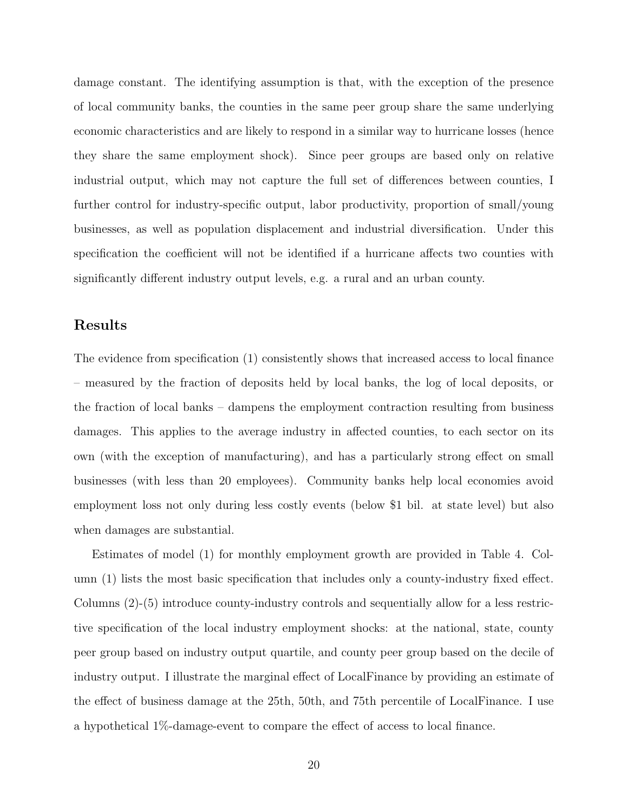damage constant. The identifying assumption is that, with the exception of the presence of local community banks, the counties in the same peer group share the same underlying economic characteristics and are likely to respond in a similar way to hurricane losses (hence they share the same employment shock). Since peer groups are based only on relative industrial output, which may not capture the full set of differences between counties, I further control for industry-specific output, labor productivity, proportion of small/young businesses, as well as population displacement and industrial diversification. Under this specification the coefficient will not be identified if a hurricane affects two counties with significantly different industry output levels, e.g. a rural and an urban county.

### Results

The evidence from specification (1) consistently shows that increased access to local finance – measured by the fraction of deposits held by local banks, the log of local deposits, or the fraction of local banks – dampens the employment contraction resulting from business damages. This applies to the average industry in affected counties, to each sector on its own (with the exception of manufacturing), and has a particularly strong effect on small businesses (with less than 20 employees). Community banks help local economies avoid employment loss not only during less costly events (below \$1 bil. at state level) but also when damages are substantial.

Estimates of model (1) for monthly employment growth are provided in Table 4. Column (1) lists the most basic specification that includes only a county-industry fixed effect. Columns (2)-(5) introduce county-industry controls and sequentially allow for a less restrictive specification of the local industry employment shocks: at the national, state, county peer group based on industry output quartile, and county peer group based on the decile of industry output. I illustrate the marginal effect of LocalFinance by providing an estimate of the effect of business damage at the 25th, 50th, and 75th percentile of LocalFinance. I use a hypothetical 1%-damage-event to compare the effect of access to local finance.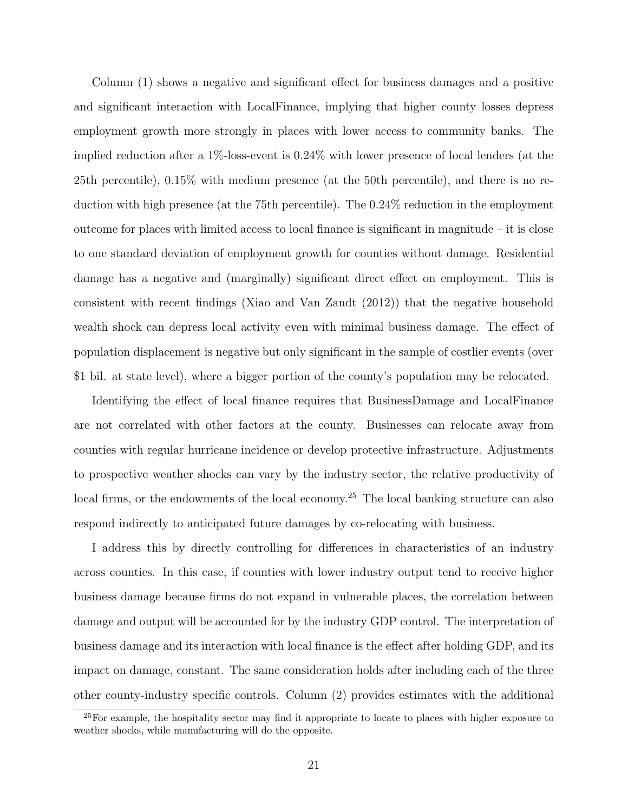Column (1) shows a negative and significant effect for business damages and a positive and significant interaction with LocalFinance, implying that higher county losses depress employment growth more strongly in places with lower access to community banks. The implied reduction after a 1%-loss-event is 0.24% with lower presence of local lenders (at the 25th percentile), 0.15% with medium presence (at the 50th percentile), and there is no reduction with high presence (at the 75th percentile). The 0.24% reduction in the employment outcome for places with limited access to local finance is significant in magnitude – it is close to one standard deviation of employment growth for counties without damage. Residential damage has a negative and (marginally) significant direct effect on employment. This is consistent with recent findings (Xiao and Van Zandt (2012)) that the negative household wealth shock can depress local activity even with minimal business damage. The effect of population displacement is negative but only significant in the sample of costlier events (over \$1 bil. at state level), where a bigger portion of the county's population may be relocated.

Identifying the effect of local finance requires that BusinessDamage and LocalFinance are not correlated with other factors at the county. Businesses can relocate away from counties with regular hurricane incidence or develop protective infrastructure. Adjustments to prospective weather shocks can vary by the industry sector, the relative productivity of local firms, or the endowments of the local economy.<sup>25</sup> The local banking structure can also respond indirectly to anticipated future damages by co-relocating with business.

I address this by directly controlling for differences in characteristics of an industry across counties. In this case, if counties with lower industry output tend to receive higher business damage because firms do not expand in vulnerable places, the correlation between damage and output will be accounted for by the industry GDP control. The interpretation of business damage and its interaction with local finance is the effect after holding GDP, and its impact on damage, constant. The same consideration holds after including each of the three other county-industry specific controls. Column (2) provides estimates with the additional

<sup>&</sup>lt;sup>25</sup>For example, the hospitality sector may find it appropriate to locate to places with higher exposure to weather shocks, while manufacturing will do the opposite.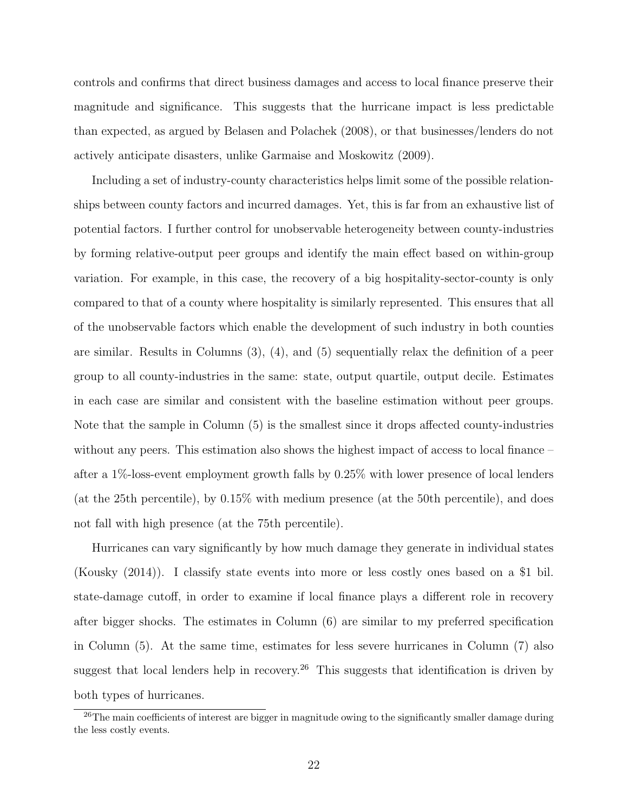controls and confirms that direct business damages and access to local finance preserve their magnitude and significance. This suggests that the hurricane impact is less predictable than expected, as argued by Belasen and Polachek (2008), or that businesses/lenders do not actively anticipate disasters, unlike Garmaise and Moskowitz (2009).

Including a set of industry-county characteristics helps limit some of the possible relationships between county factors and incurred damages. Yet, this is far from an exhaustive list of potential factors. I further control for unobservable heterogeneity between county-industries by forming relative-output peer groups and identify the main effect based on within-group variation. For example, in this case, the recovery of a big hospitality-sector-county is only compared to that of a county where hospitality is similarly represented. This ensures that all of the unobservable factors which enable the development of such industry in both counties are similar. Results in Columns (3), (4), and (5) sequentially relax the definition of a peer group to all county-industries in the same: state, output quartile, output decile. Estimates in each case are similar and consistent with the baseline estimation without peer groups. Note that the sample in Column (5) is the smallest since it drops affected county-industries without any peers. This estimation also shows the highest impact of access to local finance – after a 1%-loss-event employment growth falls by 0.25% with lower presence of local lenders (at the 25th percentile), by 0.15% with medium presence (at the 50th percentile), and does not fall with high presence (at the 75th percentile).

Hurricanes can vary significantly by how much damage they generate in individual states (Kousky (2014)). I classify state events into more or less costly ones based on a \$1 bil. state-damage cutoff, in order to examine if local finance plays a different role in recovery after bigger shocks. The estimates in Column (6) are similar to my preferred specification in Column (5). At the same time, estimates for less severe hurricanes in Column (7) also suggest that local lenders help in recovery.<sup>26</sup> This suggests that identification is driven by both types of hurricanes.

 $^{26}$ The main coefficients of interest are bigger in magnitude owing to the significantly smaller damage during the less costly events.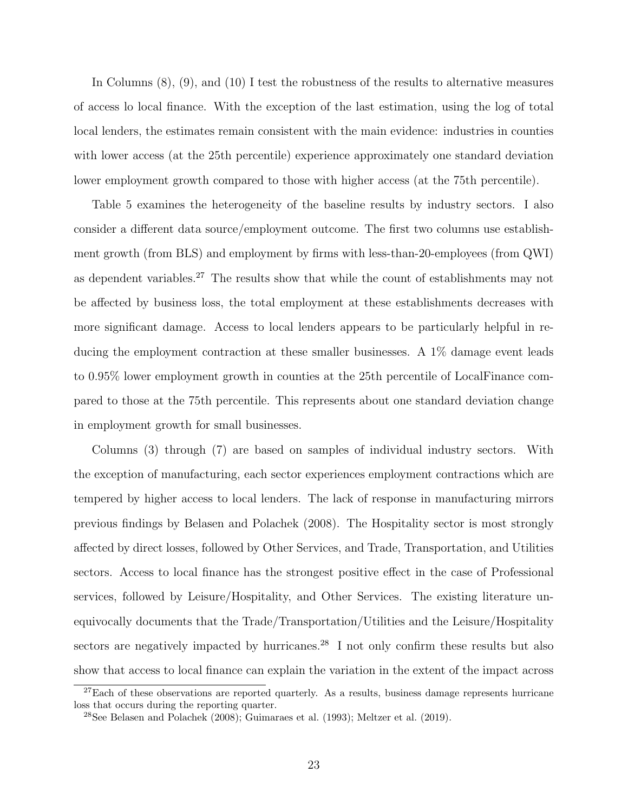In Columns (8), (9), and (10) I test the robustness of the results to alternative measures of access lo local finance. With the exception of the last estimation, using the log of total local lenders, the estimates remain consistent with the main evidence: industries in counties with lower access (at the 25th percentile) experience approximately one standard deviation lower employment growth compared to those with higher access (at the 75th percentile).

Table 5 examines the heterogeneity of the baseline results by industry sectors. I also consider a different data source/employment outcome. The first two columns use establishment growth (from BLS) and employment by firms with less-than-20-employees (from QWI) as dependent variables.<sup>27</sup> The results show that while the count of establishments may not be affected by business loss, the total employment at these establishments decreases with more significant damage. Access to local lenders appears to be particularly helpful in reducing the employment contraction at these smaller businesses. A 1% damage event leads to 0.95% lower employment growth in counties at the 25th percentile of LocalFinance compared to those at the 75th percentile. This represents about one standard deviation change in employment growth for small businesses.

Columns (3) through (7) are based on samples of individual industry sectors. With the exception of manufacturing, each sector experiences employment contractions which are tempered by higher access to local lenders. The lack of response in manufacturing mirrors previous findings by Belasen and Polachek (2008). The Hospitality sector is most strongly affected by direct losses, followed by Other Services, and Trade, Transportation, and Utilities sectors. Access to local finance has the strongest positive effect in the case of Professional services, followed by Leisure/Hospitality, and Other Services. The existing literature unequivocally documents that the Trade/Transportation/Utilities and the Leisure/Hospitality sectors are negatively impacted by hurricanes.<sup>28</sup> I not only confirm these results but also show that access to local finance can explain the variation in the extent of the impact across

<sup>&</sup>lt;sup>27</sup>Each of these observations are reported quarterly. As a results, business damage represents hurricane loss that occurs during the reporting quarter.

<sup>&</sup>lt;sup>28</sup>See Belasen and Polachek  $(2008)$ ; Guimaraes et al.  $(1993)$ ; Meltzer et al.  $(2019)$ .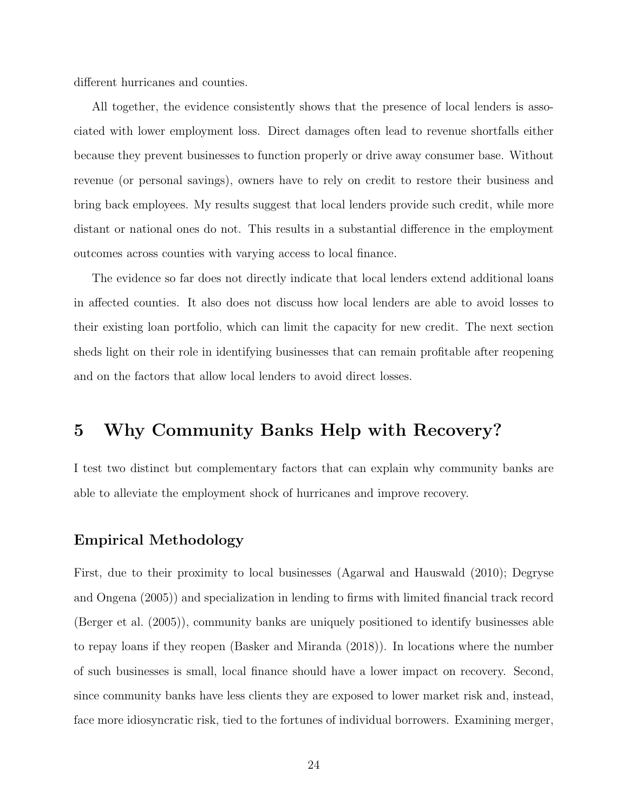different hurricanes and counties.

All together, the evidence consistently shows that the presence of local lenders is associated with lower employment loss. Direct damages often lead to revenue shortfalls either because they prevent businesses to function properly or drive away consumer base. Without revenue (or personal savings), owners have to rely on credit to restore their business and bring back employees. My results suggest that local lenders provide such credit, while more distant or national ones do not. This results in a substantial difference in the employment outcomes across counties with varying access to local finance.

The evidence so far does not directly indicate that local lenders extend additional loans in affected counties. It also does not discuss how local lenders are able to avoid losses to their existing loan portfolio, which can limit the capacity for new credit. The next section sheds light on their role in identifying businesses that can remain profitable after reopening and on the factors that allow local lenders to avoid direct losses.

# 5 Why Community Banks Help with Recovery?

I test two distinct but complementary factors that can explain why community banks are able to alleviate the employment shock of hurricanes and improve recovery.

## Empirical Methodology

First, due to their proximity to local businesses (Agarwal and Hauswald (2010); Degryse and Ongena (2005)) and specialization in lending to firms with limited financial track record (Berger et al. (2005)), community banks are uniquely positioned to identify businesses able to repay loans if they reopen (Basker and Miranda (2018)). In locations where the number of such businesses is small, local finance should have a lower impact on recovery. Second, since community banks have less clients they are exposed to lower market risk and, instead, face more idiosyncratic risk, tied to the fortunes of individual borrowers. Examining merger,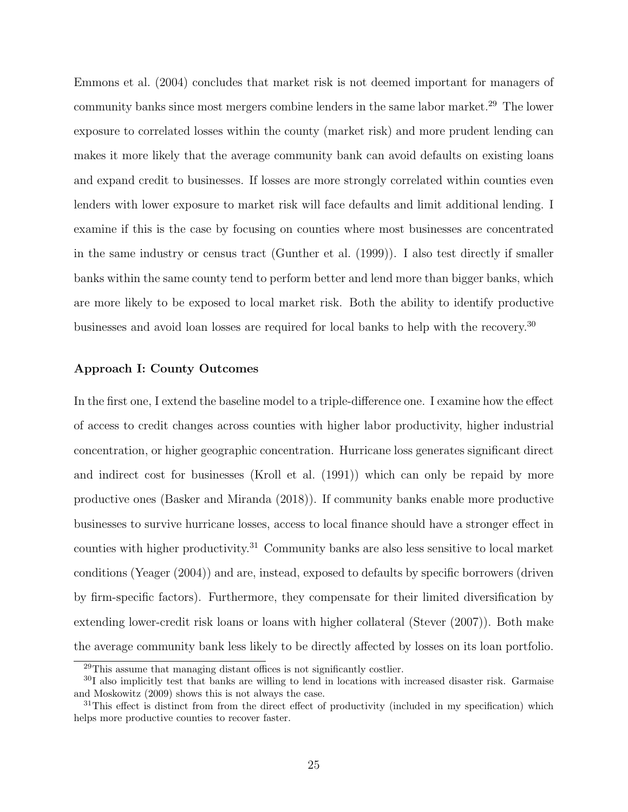Emmons et al. (2004) concludes that market risk is not deemed important for managers of community banks since most mergers combine lenders in the same labor market.<sup>29</sup> The lower exposure to correlated losses within the county (market risk) and more prudent lending can makes it more likely that the average community bank can avoid defaults on existing loans and expand credit to businesses. If losses are more strongly correlated within counties even lenders with lower exposure to market risk will face defaults and limit additional lending. I examine if this is the case by focusing on counties where most businesses are concentrated in the same industry or census tract (Gunther et al. (1999)). I also test directly if smaller banks within the same county tend to perform better and lend more than bigger banks, which are more likely to be exposed to local market risk. Both the ability to identify productive businesses and avoid loan losses are required for local banks to help with the recovery.<sup>30</sup>

### Approach I: County Outcomes

In the first one, I extend the baseline model to a triple-difference one. I examine how the effect of access to credit changes across counties with higher labor productivity, higher industrial concentration, or higher geographic concentration. Hurricane loss generates significant direct and indirect cost for businesses (Kroll et al. (1991)) which can only be repaid by more productive ones (Basker and Miranda (2018)). If community banks enable more productive businesses to survive hurricane losses, access to local finance should have a stronger effect in counties with higher productivity.<sup>31</sup> Community banks are also less sensitive to local market conditions (Yeager (2004)) and are, instead, exposed to defaults by specific borrowers (driven by firm-specific factors). Furthermore, they compensate for their limited diversification by extending lower-credit risk loans or loans with higher collateral (Stever (2007)). Both make the average community bank less likely to be directly affected by losses on its loan portfolio.

 $^{29}$ This assume that managing distant offices is not significantly costlier.

<sup>&</sup>lt;sup>30</sup>I also implicitly test that banks are willing to lend in locations with increased disaster risk. Garmaise and Moskowitz (2009) shows this is not always the case.

 $31$ This effect is distinct from from the direct effect of productivity (included in my specification) which helps more productive counties to recover faster.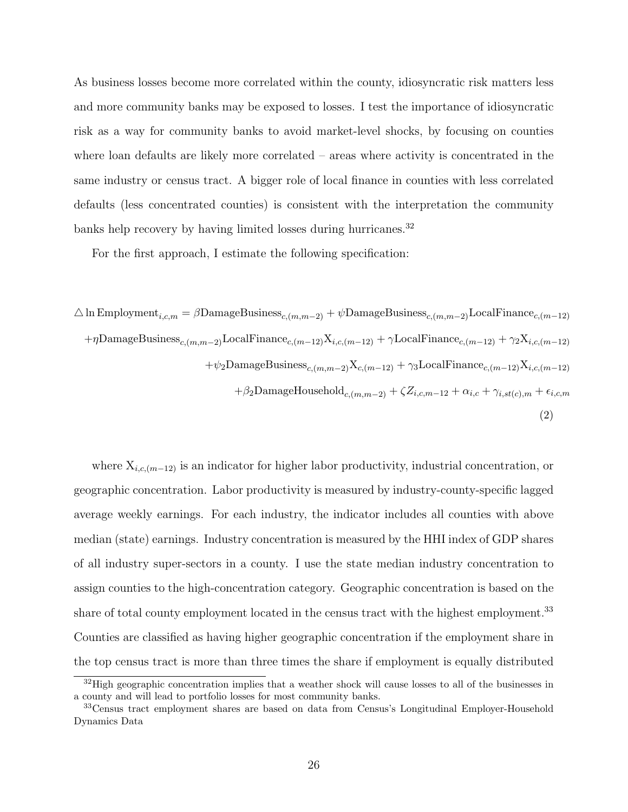As business losses become more correlated within the county, idiosyncratic risk matters less and more community banks may be exposed to losses. I test the importance of idiosyncratic risk as a way for community banks to avoid market-level shocks, by focusing on counties where loan defaults are likely more correlated – areas where activity is concentrated in the same industry or census tract. A bigger role of local finance in counties with less correlated defaults (less concentrated counties) is consistent with the interpretation the community banks help recovery by having limited losses during hurricanes.<sup>32</sup>

For the first approach, I estimate the following specification:

 $\Delta \ln \text{Emplogment}_{i,c,m} = \beta \text{DamageBusiness}_{c,(m,m-2)} + \psi \text{DamageBusiness}_{c,(m,m-2)}$ LocalFinance<sub>c,</sub> $(m-12)$ +ηDamageBusiness<sub>c,</sub>(m,m-2)LocalFinance<sub>c,(m-12)</sub>X<sub>i,c,(m-12)</sub> + γLocalFinance<sub>c,(m-12)</sub> + γ<sub>2</sub>X<sub>i,c,(m-12)</sub>  $+\psi_2$ DamageBusiness<sub>c,(m,m−2)</sub>X<sub>c,(m−12)</sub> +  $\gamma_3$ LocalFinance<sub>c,(m−12)</sub>X<sub>i,c,(m−12)</sub>  $+\beta_2$ DamageHousehold<sub>c,(m,m-2)</sub> +  $\zeta Z_{i,c,m-12} + \alpha_{i,c} + \gamma_{i,st(c),m} + \epsilon_{i,c,m}$ (2)

where  $X_{i,c,(m-12)}$  is an indicator for higher labor productivity, industrial concentration, or geographic concentration. Labor productivity is measured by industry-county-specific lagged average weekly earnings. For each industry, the indicator includes all counties with above median (state) earnings. Industry concentration is measured by the HHI index of GDP shares of all industry super-sectors in a county. I use the state median industry concentration to assign counties to the high-concentration category. Geographic concentration is based on the share of total county employment located in the census tract with the highest employment.<sup>33</sup> Counties are classified as having higher geographic concentration if the employment share in the top census tract is more than three times the share if employment is equally distributed

<sup>&</sup>lt;sup>32</sup>High geographic concentration implies that a weather shock will cause losses to all of the businesses in a county and will lead to portfolio losses for most community banks.

<sup>&</sup>lt;sup>33</sup>Census tract employment shares are based on data from Census's Longitudinal Employer-Household Dynamics Data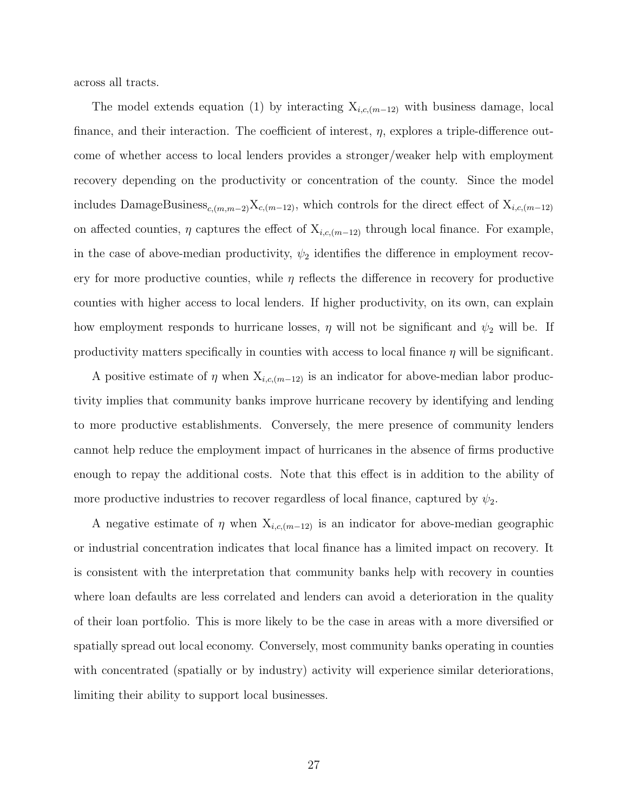across all tracts.

The model extends equation (1) by interacting  $X_{i,c,(m-12)}$  with business damage, local finance, and their interaction. The coefficient of interest,  $\eta$ , explores a triple-difference outcome of whether access to local lenders provides a stronger/weaker help with employment recovery depending on the productivity or concentration of the county. Since the model includes DamageBusiness<sub>c,(m,m−2)</sub>X<sub>c,(m−12)</sub>, which controls for the direct effect of  $X_{i,c,(m-12)}$ on affected counties,  $\eta$  captures the effect of  $X_{i,c,(m-12)}$  through local finance. For example, in the case of above-median productivity,  $\psi_2$  identifies the difference in employment recovery for more productive counties, while  $\eta$  reflects the difference in recovery for productive counties with higher access to local lenders. If higher productivity, on its own, can explain how employment responds to hurricane losses,  $\eta$  will not be significant and  $\psi_2$  will be. If productivity matters specifically in counties with access to local finance  $\eta$  will be significant.

A positive estimate of  $\eta$  when  $X_{i,c,(m-12)}$  is an indicator for above-median labor productivity implies that community banks improve hurricane recovery by identifying and lending to more productive establishments. Conversely, the mere presence of community lenders cannot help reduce the employment impact of hurricanes in the absence of firms productive enough to repay the additional costs. Note that this effect is in addition to the ability of more productive industries to recover regardless of local finance, captured by  $\psi_2$ .

A negative estimate of  $\eta$  when  $X_{i,c,(m-12)}$  is an indicator for above-median geographic or industrial concentration indicates that local finance has a limited impact on recovery. It is consistent with the interpretation that community banks help with recovery in counties where loan defaults are less correlated and lenders can avoid a deterioration in the quality of their loan portfolio. This is more likely to be the case in areas with a more diversified or spatially spread out local economy. Conversely, most community banks operating in counties with concentrated (spatially or by industry) activity will experience similar deteriorations, limiting their ability to support local businesses.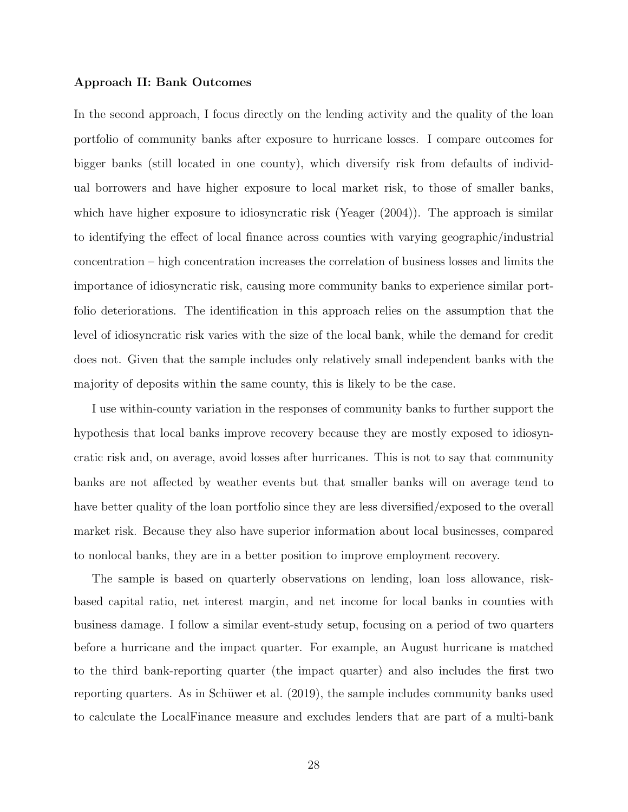#### Approach II: Bank Outcomes

In the second approach, I focus directly on the lending activity and the quality of the loan portfolio of community banks after exposure to hurricane losses. I compare outcomes for bigger banks (still located in one county), which diversify risk from defaults of individual borrowers and have higher exposure to local market risk, to those of smaller banks, which have higher exposure to idiosyncratic risk (Yeager (2004)). The approach is similar to identifying the effect of local finance across counties with varying geographic/industrial concentration – high concentration increases the correlation of business losses and limits the importance of idiosyncratic risk, causing more community banks to experience similar portfolio deteriorations. The identification in this approach relies on the assumption that the level of idiosyncratic risk varies with the size of the local bank, while the demand for credit does not. Given that the sample includes only relatively small independent banks with the majority of deposits within the same county, this is likely to be the case.

I use within-county variation in the responses of community banks to further support the hypothesis that local banks improve recovery because they are mostly exposed to idiosyncratic risk and, on average, avoid losses after hurricanes. This is not to say that community banks are not affected by weather events but that smaller banks will on average tend to have better quality of the loan portfolio since they are less diversified/exposed to the overall market risk. Because they also have superior information about local businesses, compared to nonlocal banks, they are in a better position to improve employment recovery.

The sample is based on quarterly observations on lending, loan loss allowance, riskbased capital ratio, net interest margin, and net income for local banks in counties with business damage. I follow a similar event-study setup, focusing on a period of two quarters before a hurricane and the impact quarter. For example, an August hurricane is matched to the third bank-reporting quarter (the impact quarter) and also includes the first two reporting quarters. As in Schüwer et al. (2019), the sample includes community banks used to calculate the LocalFinance measure and excludes lenders that are part of a multi-bank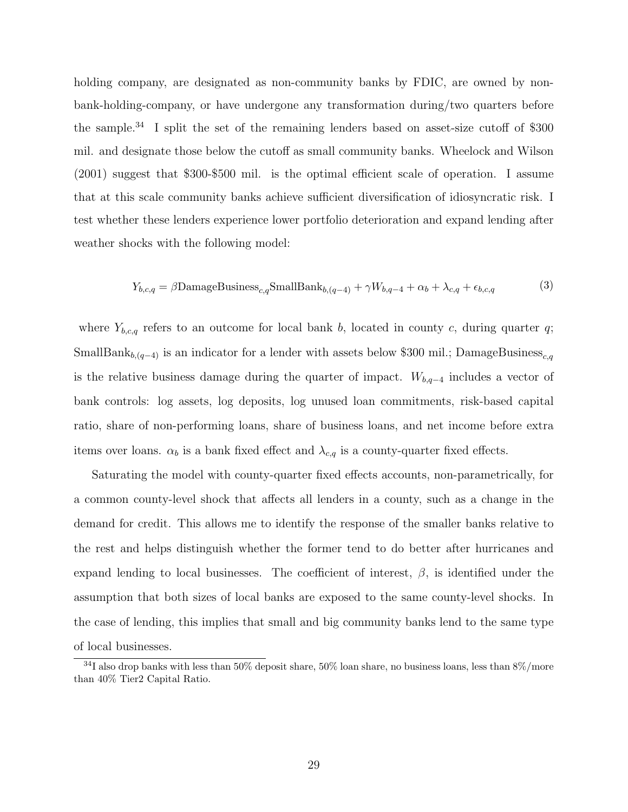holding company, are designated as non-community banks by FDIC, are owned by nonbank-holding-company, or have undergone any transformation during/two quarters before the sample.<sup>34</sup> I split the set of the remaining lenders based on asset-size cutoff of \$300 mil. and designate those below the cutoff as small community banks. Wheelock and Wilson (2001) suggest that \$300-\$500 mil. is the optimal efficient scale of operation. I assume that at this scale community banks achieve sufficient diversification of idiosyncratic risk. I test whether these lenders experience lower portfolio deterioration and expand lending after weather shocks with the following model:

$$
Y_{b,c,q} = \beta \text{DamageBusiness}_{c,q} \text{SmallBank}_{b,(q-4)} + \gamma W_{b,q-4} + \alpha_b + \lambda_{c,q} + \epsilon_{b,c,q} \tag{3}
$$

where  $Y_{b,c,q}$  refers to an outcome for local bank b, located in county c, during quarter q; SmallBank<sub>b,(q-4)</sub> is an indicator for a lender with assets below \$300 mil.; DamageBusiness<sub>c,q</sub> is the relative business damage during the quarter of impact.  $W_{b,q-4}$  includes a vector of bank controls: log assets, log deposits, log unused loan commitments, risk-based capital ratio, share of non-performing loans, share of business loans, and net income before extra items over loans.  $\alpha_b$  is a bank fixed effect and  $\lambda_{c,q}$  is a county-quarter fixed effects.

Saturating the model with county-quarter fixed effects accounts, non-parametrically, for a common county-level shock that affects all lenders in a county, such as a change in the demand for credit. This allows me to identify the response of the smaller banks relative to the rest and helps distinguish whether the former tend to do better after hurricanes and expand lending to local businesses. The coefficient of interest,  $\beta$ , is identified under the assumption that both sizes of local banks are exposed to the same county-level shocks. In the case of lending, this implies that small and big community banks lend to the same type of local businesses.

 $34$ I also drop banks with less than  $50\%$  deposit share,  $50\%$  loan share, no business loans, less than  $8\%/$ more than 40% Tier2 Capital Ratio.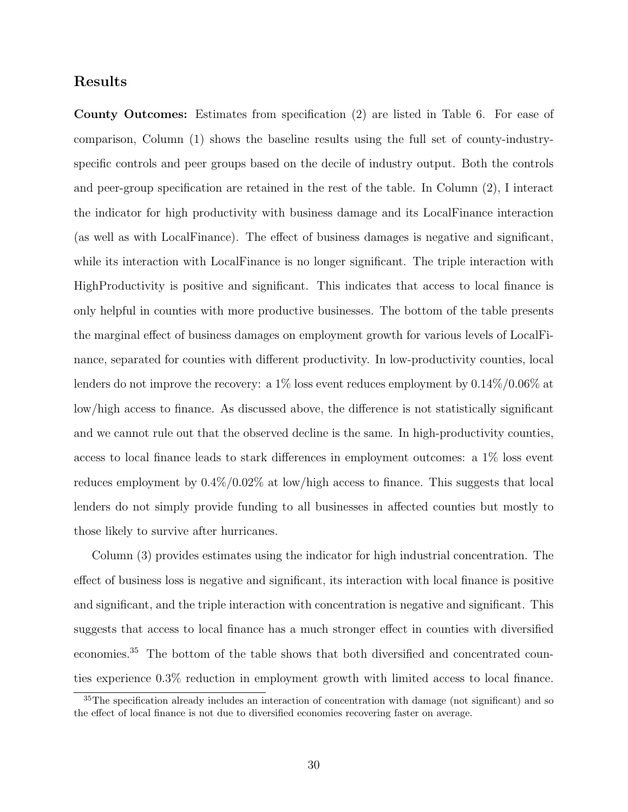## Results

County Outcomes: Estimates from specification (2) are listed in Table 6. For ease of comparison, Column (1) shows the baseline results using the full set of county-industryspecific controls and peer groups based on the decile of industry output. Both the controls and peer-group specification are retained in the rest of the table. In Column (2), I interact the indicator for high productivity with business damage and its LocalFinance interaction (as well as with LocalFinance). The effect of business damages is negative and significant, while its interaction with LocalFinance is no longer significant. The triple interaction with HighProductivity is positive and significant. This indicates that access to local finance is only helpful in counties with more productive businesses. The bottom of the table presents the marginal effect of business damages on employment growth for various levels of LocalFinance, separated for counties with different productivity. In low-productivity counties, local lenders do not improve the recovery: a 1% loss event reduces employment by 0.14%/0.06% at low/high access to finance. As discussed above, the difference is not statistically significant and we cannot rule out that the observed decline is the same. In high-productivity counties, access to local finance leads to stark differences in employment outcomes: a 1% loss event reduces employment by  $0.4\%/0.02\%$  at low/high access to finance. This suggests that local lenders do not simply provide funding to all businesses in affected counties but mostly to those likely to survive after hurricanes.

Column (3) provides estimates using the indicator for high industrial concentration. The effect of business loss is negative and significant, its interaction with local finance is positive and significant, and the triple interaction with concentration is negative and significant. This suggests that access to local finance has a much stronger effect in counties with diversified economies.<sup>35</sup> The bottom of the table shows that both diversified and concentrated counties experience 0.3% reduction in employment growth with limited access to local finance.

<sup>&</sup>lt;sup>35</sup>The specification already includes an interaction of concentration with damage (not significant) and so the effect of local finance is not due to diversified economies recovering faster on average.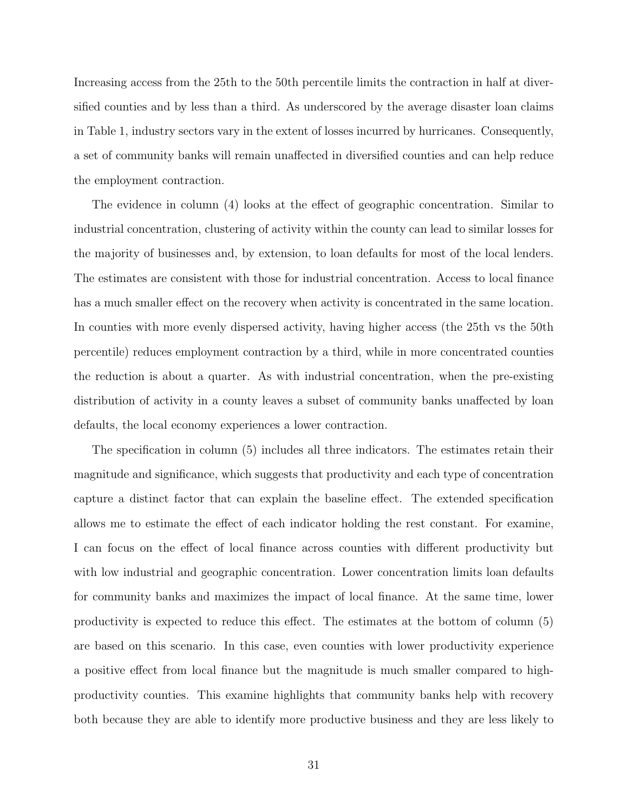Increasing access from the 25th to the 50th percentile limits the contraction in half at diversified counties and by less than a third. As underscored by the average disaster loan claims in Table 1, industry sectors vary in the extent of losses incurred by hurricanes. Consequently, a set of community banks will remain unaffected in diversified counties and can help reduce the employment contraction.

The evidence in column (4) looks at the effect of geographic concentration. Similar to industrial concentration, clustering of activity within the county can lead to similar losses for the majority of businesses and, by extension, to loan defaults for most of the local lenders. The estimates are consistent with those for industrial concentration. Access to local finance has a much smaller effect on the recovery when activity is concentrated in the same location. In counties with more evenly dispersed activity, having higher access (the 25th vs the 50th percentile) reduces employment contraction by a third, while in more concentrated counties the reduction is about a quarter. As with industrial concentration, when the pre-existing distribution of activity in a county leaves a subset of community banks unaffected by loan defaults, the local economy experiences a lower contraction.

The specification in column (5) includes all three indicators. The estimates retain their magnitude and significance, which suggests that productivity and each type of concentration capture a distinct factor that can explain the baseline effect. The extended specification allows me to estimate the effect of each indicator holding the rest constant. For examine, I can focus on the effect of local finance across counties with different productivity but with low industrial and geographic concentration. Lower concentration limits loan defaults for community banks and maximizes the impact of local finance. At the same time, lower productivity is expected to reduce this effect. The estimates at the bottom of column (5) are based on this scenario. In this case, even counties with lower productivity experience a positive effect from local finance but the magnitude is much smaller compared to highproductivity counties. This examine highlights that community banks help with recovery both because they are able to identify more productive business and they are less likely to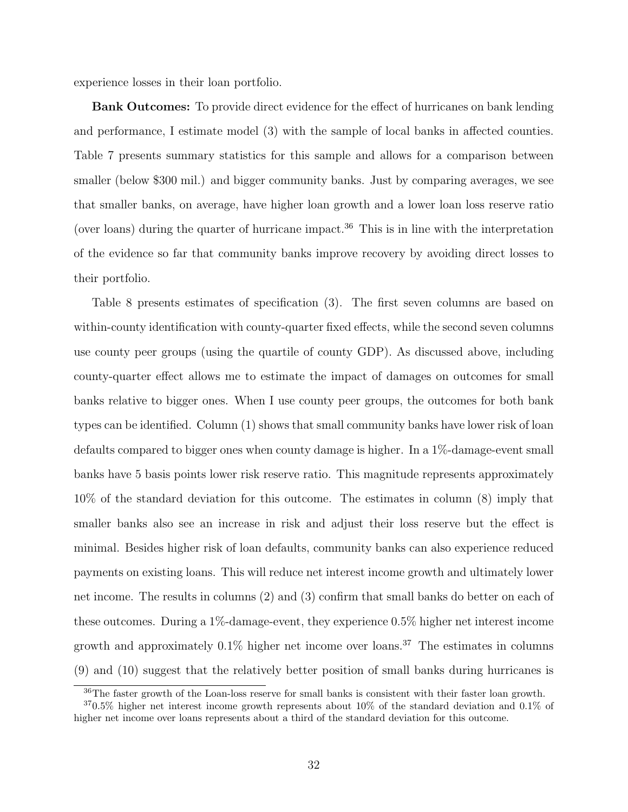experience losses in their loan portfolio.

**Bank Outcomes:** To provide direct evidence for the effect of hurricanes on bank lending and performance, I estimate model (3) with the sample of local banks in affected counties. Table 7 presents summary statistics for this sample and allows for a comparison between smaller (below \$300 mil.) and bigger community banks. Just by comparing averages, we see that smaller banks, on average, have higher loan growth and a lower loan loss reserve ratio (over loans) during the quarter of hurricane impact.<sup>36</sup> This is in line with the interpretation of the evidence so far that community banks improve recovery by avoiding direct losses to their portfolio.

Table 8 presents estimates of specification (3). The first seven columns are based on within-county identification with county-quarter fixed effects, while the second seven columns use county peer groups (using the quartile of county GDP). As discussed above, including county-quarter effect allows me to estimate the impact of damages on outcomes for small banks relative to bigger ones. When I use county peer groups, the outcomes for both bank types can be identified. Column (1) shows that small community banks have lower risk of loan defaults compared to bigger ones when county damage is higher. In a 1%-damage-event small banks have 5 basis points lower risk reserve ratio. This magnitude represents approximately 10% of the standard deviation for this outcome. The estimates in column (8) imply that smaller banks also see an increase in risk and adjust their loss reserve but the effect is minimal. Besides higher risk of loan defaults, community banks can also experience reduced payments on existing loans. This will reduce net interest income growth and ultimately lower net income. The results in columns (2) and (3) confirm that small banks do better on each of these outcomes. During a 1%-damage-event, they experience 0.5% higher net interest income growth and approximately  $0.1\%$  higher net income over loans.<sup>37</sup> The estimates in columns (9) and (10) suggest that the relatively better position of small banks during hurricanes is

<sup>&</sup>lt;sup>36</sup>The faster growth of the Loan-loss reserve for small banks is consistent with their faster loan growth.

 $370.5\%$  higher net interest income growth represents about 10% of the standard deviation and 0.1% of higher net income over loans represents about a third of the standard deviation for this outcome.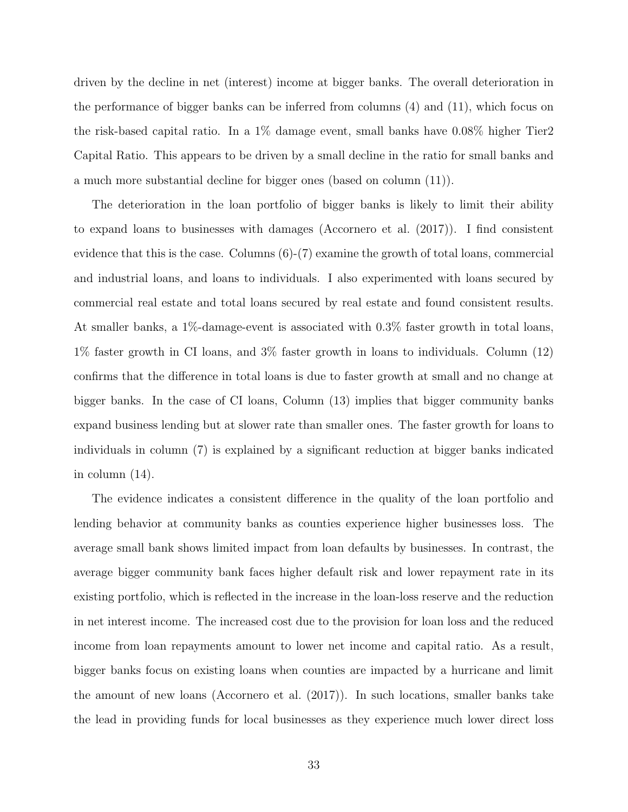driven by the decline in net (interest) income at bigger banks. The overall deterioration in the performance of bigger banks can be inferred from columns (4) and (11), which focus on the risk-based capital ratio. In a 1% damage event, small banks have 0.08% higher Tier2 Capital Ratio. This appears to be driven by a small decline in the ratio for small banks and a much more substantial decline for bigger ones (based on column (11)).

The deterioration in the loan portfolio of bigger banks is likely to limit their ability to expand loans to businesses with damages (Accornero et al. (2017)). I find consistent evidence that this is the case. Columns  $(6)-(7)$  examine the growth of total loans, commercial and industrial loans, and loans to individuals. I also experimented with loans secured by commercial real estate and total loans secured by real estate and found consistent results. At smaller banks, a 1%-damage-event is associated with 0.3% faster growth in total loans, 1% faster growth in CI loans, and 3% faster growth in loans to individuals. Column (12) confirms that the difference in total loans is due to faster growth at small and no change at bigger banks. In the case of CI loans, Column (13) implies that bigger community banks expand business lending but at slower rate than smaller ones. The faster growth for loans to individuals in column (7) is explained by a significant reduction at bigger banks indicated in column (14).

The evidence indicates a consistent difference in the quality of the loan portfolio and lending behavior at community banks as counties experience higher businesses loss. The average small bank shows limited impact from loan defaults by businesses. In contrast, the average bigger community bank faces higher default risk and lower repayment rate in its existing portfolio, which is reflected in the increase in the loan-loss reserve and the reduction in net interest income. The increased cost due to the provision for loan loss and the reduced income from loan repayments amount to lower net income and capital ratio. As a result, bigger banks focus on existing loans when counties are impacted by a hurricane and limit the amount of new loans (Accornero et al. (2017)). In such locations, smaller banks take the lead in providing funds for local businesses as they experience much lower direct loss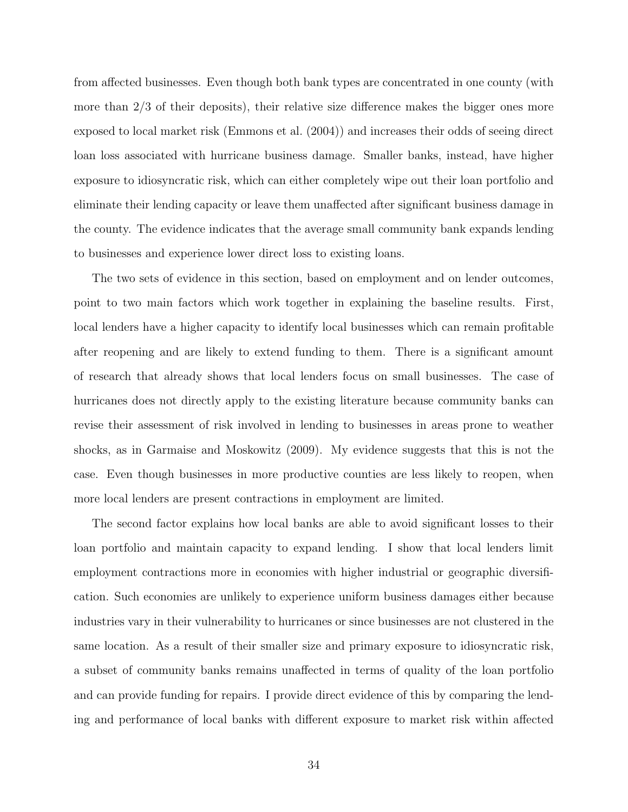from affected businesses. Even though both bank types are concentrated in one county (with more than 2/3 of their deposits), their relative size difference makes the bigger ones more exposed to local market risk (Emmons et al. (2004)) and increases their odds of seeing direct loan loss associated with hurricane business damage. Smaller banks, instead, have higher exposure to idiosyncratic risk, which can either completely wipe out their loan portfolio and eliminate their lending capacity or leave them unaffected after significant business damage in the county. The evidence indicates that the average small community bank expands lending to businesses and experience lower direct loss to existing loans.

The two sets of evidence in this section, based on employment and on lender outcomes, point to two main factors which work together in explaining the baseline results. First, local lenders have a higher capacity to identify local businesses which can remain profitable after reopening and are likely to extend funding to them. There is a significant amount of research that already shows that local lenders focus on small businesses. The case of hurricanes does not directly apply to the existing literature because community banks can revise their assessment of risk involved in lending to businesses in areas prone to weather shocks, as in Garmaise and Moskowitz (2009). My evidence suggests that this is not the case. Even though businesses in more productive counties are less likely to reopen, when more local lenders are present contractions in employment are limited.

The second factor explains how local banks are able to avoid significant losses to their loan portfolio and maintain capacity to expand lending. I show that local lenders limit employment contractions more in economies with higher industrial or geographic diversification. Such economies are unlikely to experience uniform business damages either because industries vary in their vulnerability to hurricanes or since businesses are not clustered in the same location. As a result of their smaller size and primary exposure to idiosyncratic risk, a subset of community banks remains unaffected in terms of quality of the loan portfolio and can provide funding for repairs. I provide direct evidence of this by comparing the lending and performance of local banks with different exposure to market risk within affected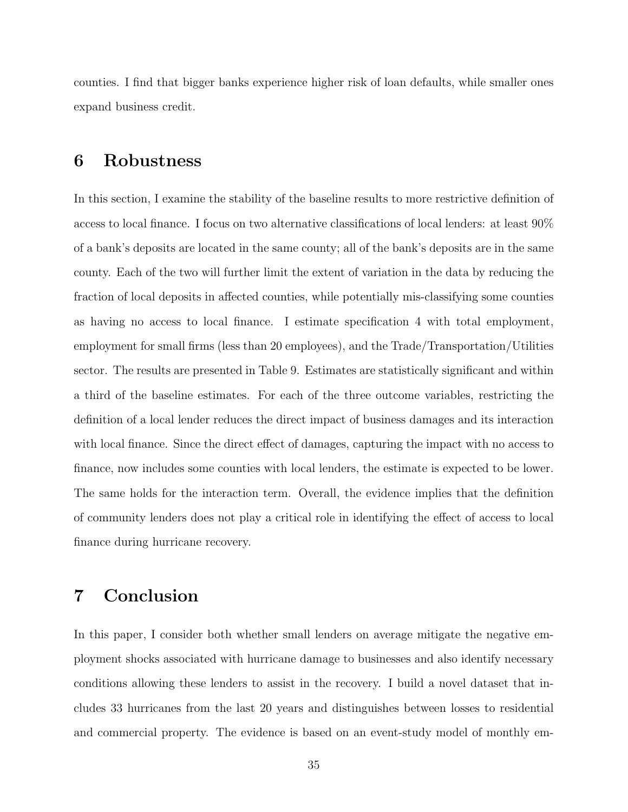counties. I find that bigger banks experience higher risk of loan defaults, while smaller ones expand business credit.

## 6 Robustness

In this section, I examine the stability of the baseline results to more restrictive definition of access to local finance. I focus on two alternative classifications of local lenders: at least 90% of a bank's deposits are located in the same county; all of the bank's deposits are in the same county. Each of the two will further limit the extent of variation in the data by reducing the fraction of local deposits in affected counties, while potentially mis-classifying some counties as having no access to local finance. I estimate specification 4 with total employment, employment for small firms (less than 20 employees), and the Trade/Transportation/Utilities sector. The results are presented in Table 9. Estimates are statistically significant and within a third of the baseline estimates. For each of the three outcome variables, restricting the definition of a local lender reduces the direct impact of business damages and its interaction with local finance. Since the direct effect of damages, capturing the impact with no access to finance, now includes some counties with local lenders, the estimate is expected to be lower. The same holds for the interaction term. Overall, the evidence implies that the definition of community lenders does not play a critical role in identifying the effect of access to local finance during hurricane recovery.

# 7 Conclusion

In this paper, I consider both whether small lenders on average mitigate the negative employment shocks associated with hurricane damage to businesses and also identify necessary conditions allowing these lenders to assist in the recovery. I build a novel dataset that includes 33 hurricanes from the last 20 years and distinguishes between losses to residential and commercial property. The evidence is based on an event-study model of monthly em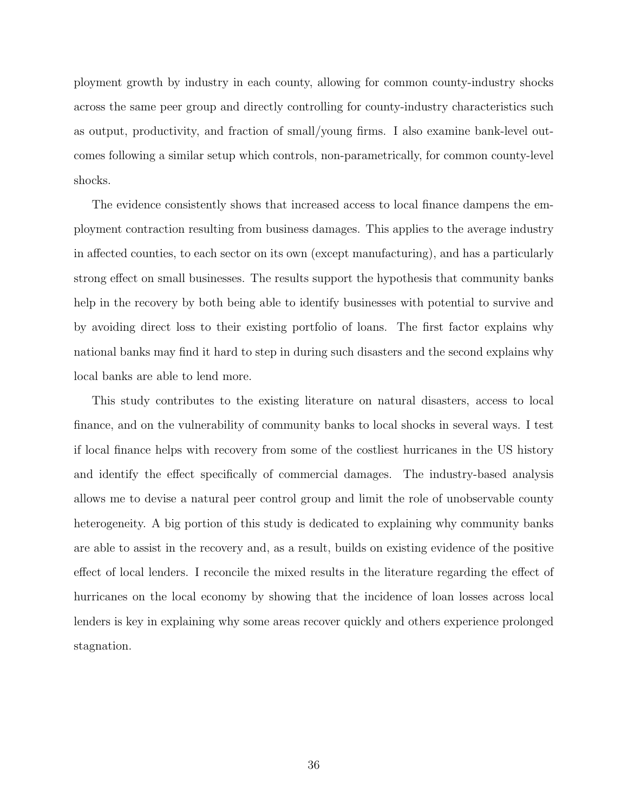ployment growth by industry in each county, allowing for common county-industry shocks across the same peer group and directly controlling for county-industry characteristics such as output, productivity, and fraction of small/young firms. I also examine bank-level outcomes following a similar setup which controls, non-parametrically, for common county-level shocks.

The evidence consistently shows that increased access to local finance dampens the employment contraction resulting from business damages. This applies to the average industry in affected counties, to each sector on its own (except manufacturing), and has a particularly strong effect on small businesses. The results support the hypothesis that community banks help in the recovery by both being able to identify businesses with potential to survive and by avoiding direct loss to their existing portfolio of loans. The first factor explains why national banks may find it hard to step in during such disasters and the second explains why local banks are able to lend more.

This study contributes to the existing literature on natural disasters, access to local finance, and on the vulnerability of community banks to local shocks in several ways. I test if local finance helps with recovery from some of the costliest hurricanes in the US history and identify the effect specifically of commercial damages. The industry-based analysis allows me to devise a natural peer control group and limit the role of unobservable county heterogeneity. A big portion of this study is dedicated to explaining why community banks are able to assist in the recovery and, as a result, builds on existing evidence of the positive effect of local lenders. I reconcile the mixed results in the literature regarding the effect of hurricanes on the local economy by showing that the incidence of loan losses across local lenders is key in explaining why some areas recover quickly and others experience prolonged stagnation.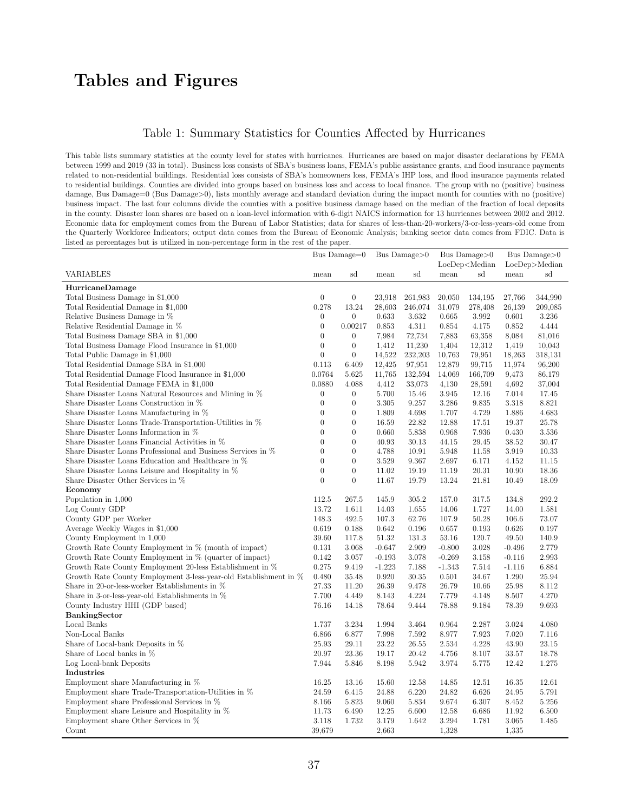# Tables and Figures

### Table 1: Summary Statistics for Counties Affected by Hurricanes

This table lists summary statistics at the county level for states with hurricanes. Hurricanes are based on major disaster declarations by FEMA between 1999 and 2019 (33 in total). Business loss consists of SBA's business loans, FEMA's public assistance grants, and flood insurance payments related to non-residential buildings. Residential loss consists of SBA's homeowners loss, FEMA's IHP loss, and flood insurance payments related to residential buildings. Counties are divided into groups based on business loss and access to local finance. The group with no (positive) business damage, Bus Damage=0 (Bus Damage>0), lists monthly average and standard deviation during the impact month for counties with no (positive) business impact. The last four columns divide the counties with a positive business damage based on the median of the fraction of local deposits in the county. Disaster loan shares are based on a loan-level information with 6-digit NAICS information for 13 hurricanes between 2002 and 2012. Economic data for employment comes from the Bureau of Labor Statistics; data for shares of less-than-20-workers/3-or-less-years-old come from the Quarterly Workforce Indicators; output data comes from the Bureau of Economic Analysis; banking sector data comes from FDIC. Data is listed as percentages but is utilized in non-percentage form in the rest of the paper.

|                                                                  | Bus Damage=0     |                  | Bus Damage $>0$ |         | Bus Damage $>0$ |                                                                    | Bus Damage $>0$ |               |
|------------------------------------------------------------------|------------------|------------------|-----------------|---------|-----------------|--------------------------------------------------------------------|-----------------|---------------|
|                                                                  |                  |                  |                 |         |                 | LocDep <median< td=""><td></td><td>LocDep&gt;Median</td></median<> |                 | LocDep>Median |
| <b>VARIABLES</b>                                                 | mean             | sd               | mean            | sd      | mean            | sd                                                                 | mean            | sd            |
| <b>HurricaneDamage</b>                                           |                  |                  |                 |         |                 |                                                                    |                 |               |
| Total Business Damage in \$1,000                                 | $\theta$         | $\boldsymbol{0}$ | 23,918          | 261,983 | 20,050          | 134,195                                                            | 27,766          | 344,990       |
| Total Residential Damage in \$1,000                              | 0.278            | 13.24            | 28,603          | 246,074 | 31,079          | 278,408                                                            | 26,139          | 209,085       |
| Relative Business Damage in %                                    | $\overline{0}$   | $\boldsymbol{0}$ | 0.633           | 3.632   | 0.665           | 3.992                                                              | 0.601           | 3.236         |
| Relative Residential Damage in %                                 | $\theta$         | 0.00217          | 0.853           | 4.311   | 0.854           | 4.175                                                              | 0.852           | 4.444         |
| Total Business Damage SBA in \$1,000                             | $\mathbf{0}$     | $\boldsymbol{0}$ | 7,984           | 72,734  | 7,883           | 63,358                                                             | 8,084           | 81,016        |
| Total Business Damage Flood Insurance in \$1,000                 | $\theta$         | $\boldsymbol{0}$ | 1,412           | 11,230  | 1,404           | 12,312                                                             | 1,419           | 10,043        |
| Total Public Damage in \$1,000                                   | $\theta$         | $\boldsymbol{0}$ | 14,522          | 232,203 | 10,763          | 79,951                                                             | 18,263          | 318,131       |
| Total Residential Damage SBA in \$1,000                          | 0.113            | 6.409            | 12,425          | 97.951  | 12,879          | 99,715                                                             | 11,974          | 96,200        |
| Total Residential Damage Flood Insurance in \$1,000              | 0.0764           | 5.625            | 11,765          | 132,594 | 14,069          | 166,709                                                            | 9,473           | 86,179        |
| Total Residential Damage FEMA in \$1,000                         | 0.0880           | 4.088            | 4,412           | 33,073  | 4,130           | 28,591                                                             | 4,692           | 37,004        |
| Share Disaster Loans Natural Resources and Mining in %           | $\boldsymbol{0}$ | $\boldsymbol{0}$ | 5.700           | 15.46   | 3.945           | 12.16                                                              | 7.014           | 17.45         |
| Share Disaster Loans Construction in %                           | $\theta$         | $\boldsymbol{0}$ | 3.305           | 9.257   | 3.286           | 9.835                                                              | 3.318           | 8.821         |
| Share Disaster Loans Manufacturing in %                          | $\theta$         | $\boldsymbol{0}$ | 1.809           | 4.698   | 1.707           | 4.729                                                              | 1.886           | 4.683         |
| Share Disaster Loans Trade-Transportation-Utilities in %         | $\overline{0}$   | $\overline{0}$   | 16.59           | 22.82   | 12.88           | 17.51                                                              | 19.37           | 25.78         |
| Share Disaster Loans Information in %                            | $\theta$         | $\boldsymbol{0}$ | 0.660           | 5.838   | 0.968           | 7.936                                                              | 0.430           | 3.536         |
| Share Disaster Loans Financial Activities in %                   | $\theta$         | $\overline{0}$   | 40.93           | 30.13   | 44.15           | 29.45                                                              | 38.52           | 30.47         |
| Share Disaster Loans Professional and Business Services in %     | $\overline{0}$   | $\boldsymbol{0}$ | 4.788           | 10.91   | 5.948           | 11.58                                                              | 3.919           | 10.33         |
| Share Disaster Loans Education and Healthcare in %               | $\theta$         | $\overline{0}$   | 3.529           | 9.367   | 2.697           | 6.171                                                              | 4.152           | 11.15         |
| Share Disaster Loans Leisure and Hospitality in %                | $\mathbf{0}$     | $\boldsymbol{0}$ | 11.02           | 19.19   | 11.19           | 20.31                                                              | 10.90           | 18.36         |
| Share Disaster Other Services in %                               | $\theta$         | $\overline{0}$   | 11.67           | 19.79   | 13.24           | 21.81                                                              | 10.49           | 18.09         |
| Economy                                                          |                  |                  |                 |         |                 |                                                                    |                 |               |
| Population in 1,000                                              | 112.5            | 267.5            | 145.9           | 305.2   | 157.0           | 317.5                                                              | 134.8           | 292.2         |
| Log County GDP                                                   | 13.72            | 1.611            | 14.03           | 1.655   | 14.06           | 1.727                                                              | 14.00           | 1.581         |
| County GDP per Worker                                            | 148.3            | 492.5            | 107.3           | 62.76   | 107.9           | 50.28                                                              | 106.6           | 73.07         |
| Average Weekly Wages in \$1,000                                  | 0.619            | 0.188            | 0.642           | 0.196   | 0.657           | 0.193                                                              | 0.626           | 0.197         |
| County Employment in 1,000                                       | 39.60            | 117.8            | 51.32           | 131.3   | 53.16           | 120.7                                                              | 49.50           | 140.9         |
| Growth Rate County Employment in $\%$ (month of impact)          | 0.131            | 3.068            | $-0.647$        | 2.909   | $-0.800$        | 3.028                                                              | $-0.496$        | 2.779         |
| Growth Rate County Employment in $%$ (quarter of impact)         | 0.142            | 3.057            | $-0.193$        | 3.078   | $-0.269$        | 3.158                                                              | $-0.116$        | 2.993         |
| Growth Rate County Employment 20-less Establishment in %         | 0.275            | 9.419            | $-1.223$        | 7.188   | $-1.343$        | 7.514                                                              | $-1.116$        | 6.884         |
| Growth Rate County Employment 3-less-year-old Establishment in % | 0.480            | 35.48            | 0.920           | 30.35   | 0.501           | 34.67                                                              | 1.290           | 25.94         |
| Share in 20-or-less-worker Establishments in $\%$                | 27.33            | 11.20            | 26.39           | 9.478   | 26.79           | 10.66                                                              | 25.98           | 8.112         |
| Share in 3-or-less-year-old Establishments in $%$                | 7.700            | 4.449            | 8.143           | 4.224   | 7.779           | 4.148                                                              | 8.507           | 4.270         |
| County Industry HHI (GDP based)                                  | 76.16            | 14.18            | 78.64           | 9.444   | 78.88           | 9.184                                                              | 78.39           | 9.693         |
| BankingSector                                                    |                  |                  |                 |         |                 |                                                                    |                 |               |
| Local Banks                                                      | 1.737            | 3.234            | 1.994           | 3.464   | 0.964           | 2.287                                                              | 3.024           | 4.080         |
| Non-Local Banks                                                  | 6.866            | 6.877            | 7.998           | 7.592   | 8.977           | 7.923                                                              | 7.020           | 7.116         |
| Share of Local-bank Deposits in $%$                              | 25.93            | 29.11            | 23.22           | 26.55   | 2.534           | 4.228                                                              | 43.90           | 23.15         |
| Share of Local banks in %                                        | 20.97            | 23.36            | 19.17           | 20.42   | 4.756           | 8.107                                                              | 33.57           | 18.78         |
| Log Local-bank Deposits                                          | 7.944            | 5.846            | 8.198           | 5.942   | 3.974           | 5.775                                                              | 12.42           | 1.275         |
| Industries                                                       |                  |                  |                 |         |                 |                                                                    |                 |               |
| Employment share Manufacturing in $%$                            | 16.25            | 13.16            | 15.60           | 12.58   | 14.85           | 12.51                                                              | 16.35           | 12.61         |
| Employment share Trade-Transportation-Utilities in $%$           | 24.59            | 6.415            | 24.88           | 6.220   | 24.82           | 6.626                                                              | 24.95           | 5.791         |
| Employment share Professional Services in %                      | 8.166            | 5.823            | 9.060           | 5.834   | 9.674           | 6.307                                                              | 8.452           | 5.256         |
| Employment share Leisure and Hospitality in %                    | 11.73            | 6.490            | 12.25           | 6.600   | 12.58           | 6.686                                                              | 11.92           | 6.500         |
| Employment share Other Services in %                             | 3.118            | 1.732            | 3.179           | 1.642   | 3.294           | 1.781                                                              | 3.065           | 1.485         |
| Count                                                            | 39,679           |                  | 2,663           |         | 1,328           |                                                                    | 1,335           |               |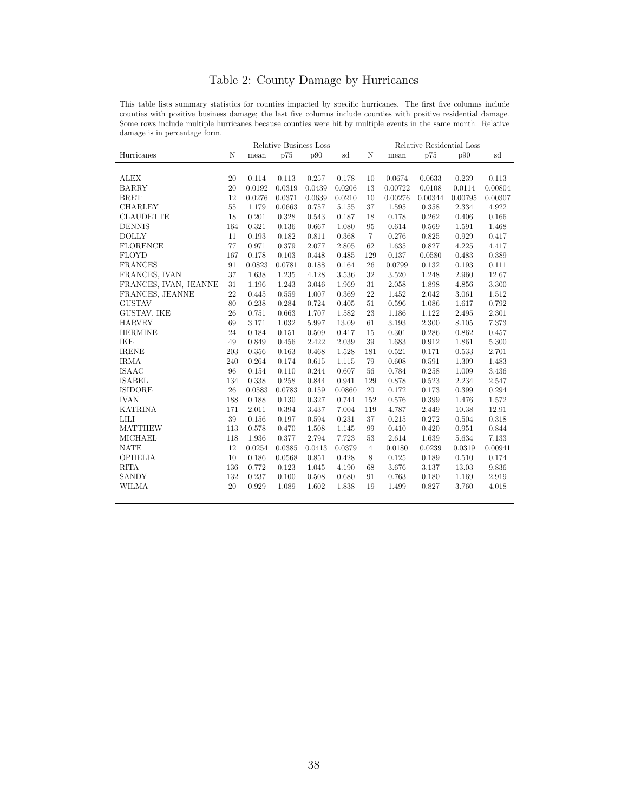## Table 2: County Damage by Hurricanes

This table lists summary statistics for counties impacted by specific hurricanes. The first five columns include counties with positive business damage; the last five columns include counties with positive residential damage. Some rows include multiple hurricanes because counties were hit by multiple events in the same month. Relative damage is in percentage form.

|                       |        |        |        | Relative Business Loss<br>Relative Residential Loss |        |                |         |         |         |         |
|-----------------------|--------|--------|--------|-----------------------------------------------------|--------|----------------|---------|---------|---------|---------|
| Hurricanes            | N      | mean   | p75    | p90                                                 | sd     | N              | mean    | p75     | p90     | sd      |
|                       |        |        |        |                                                     |        |                |         |         |         |         |
| <b>ALEX</b>           | 20     | 0.114  | 0.113  | 0.257                                               | 0.178  | 10             | 0.0674  | 0.0633  | 0.239   | 0.113   |
| <b>BARRY</b>          | 20     | 0.0192 | 0.0319 | 0.0439                                              | 0.0206 | 13             | 0.00722 | 0.0108  | 0.0114  | 0.00804 |
| <b>BRET</b>           | 12     | 0.0276 | 0.0371 | 0.0639                                              | 0.0210 | 10             | 0.00276 | 0.00344 | 0.00795 | 0.00307 |
| <b>CHARLEY</b>        | 55     | 1.179  | 0.0663 | 0.757                                               | 5.155  | 37             | 1.595   | 0.358   | 2.334   | 4.922   |
| <b>CLAUDETTE</b>      | 18     | 0.201  | 0.328  | 0.543                                               | 0.187  | 18             | 0.178   | 0.262   | 0.406   | 0.166   |
| <b>DENNIS</b>         | 164    | 0.321  | 0.136  | 0.667                                               | 1.080  | 95             | 0.614   | 0.569   | 1.591   | 1.468   |
| <b>DOLLY</b>          | 11     | 0.193  | 0.182  | 0.811                                               | 0.368  | $\overline{7}$ | 0.276   | 0.825   | 0.929   | 0.417   |
| <b>FLORENCE</b>       | 77     | 0.971  | 0.379  | 2.077                                               | 2.805  | 62             | 1.635   | 0.827   | 4.225   | 4.417   |
| FLOYD                 | 167    | 0.178  | 0.103  | 0.448                                               | 0.485  | 129            | 0.137   | 0.0580  | 0.483   | 0.389   |
| <b>FRANCES</b>        | 91     | 0.0823 | 0.0781 | 0.188                                               | 0.164  | 26             | 0.0799  | 0.132   | 0.193   | 0.111   |
| FRANCES, IVAN         | 37     | 1.638  | 1.235  | 4.128                                               | 3.536  | $32\,$         | 3.520   | 1.248   | 2.960   | 12.67   |
| FRANCES, IVAN, JEANNE | 31     | 1.196  | 1.243  | 3.046                                               | 1.969  | 31             | 2.058   | 1.898   | 4.856   | 3.300   |
| FRANCES, JEANNE       | 22     | 0.445  | 0.559  | 1.007                                               | 0.369  | $22\,$         | 1.452   | 2.042   | 3.061   | 1.512   |
| <b>GUSTAV</b>         | 80     | 0.238  | 0.284  | 0.724                                               | 0.405  | 51             | 0.596   | 1.086   | 1.617   | 0.792   |
| GUSTAV, IKE           | 26     | 0.751  | 0.663  | 1.707                                               | 1.582  | 23             | 1.186   | 1.122   | 2.495   | 2.301   |
| <b>HARVEY</b>         | 69     | 3.171  | 1.032  | 5.997                                               | 13.09  | 61             | 3.193   | 2.300   | 8.105   | 7.373   |
| <b>HERMINE</b>        | 24     | 0.184  | 0.151  | 0.509                                               | 0.417  | 15             | 0.301   | 0.286   | 0.862   | 0.457   |
| <b>IKE</b>            | 49     | 0.849  | 0.456  | 2.422                                               | 2.039  | 39             | 1.683   | 0.912   | 1.861   | 5.300   |
| <b>IRENE</b>          | 203    | 0.356  | 0.163  | 0.468                                               | 1.528  | 181            | 0.521   | 0.171   | 0.533   | 2.701   |
| <b>IRMA</b>           | 240    | 0.264  | 0.174  | 0.615                                               | 1.115  | 79             | 0.608   | 0.591   | 1.309   | 1.483   |
| <b>ISAAC</b>          | 96     | 0.154  | 0.110  | 0.244                                               | 0.607  | 56             | 0.784   | 0.258   | 1.009   | 3.436   |
| <b>ISABEL</b>         | 134    | 0.338  | 0.258  | 0.844                                               | 0.941  | 129            | 0.878   | 0.523   | 2.234   | 2.547   |
| <b>ISIDORE</b>        | 26     | 0.0583 | 0.0783 | 0.159                                               | 0.0860 | 20             | 0.172   | 0.173   | 0.399   | 0.294   |
| <b>IVAN</b>           | 188    | 0.188  | 0.130  | 0.327                                               | 0.744  | 152            | 0.576   | 0.399   | 1.476   | 1.572   |
| <b>KATRINA</b>        | 171    | 2.011  | 0.394  | 3.437                                               | 7.004  | 119            | 4.787   | 2.449   | 10.38   | 12.91   |
| LILI                  | $39\,$ | 0.156  | 0.197  | 0.594                                               | 0.231  | 37             | 0.215   | 0.272   | 0.504   | 0.318   |
| <b>MATTHEW</b>        | 113    | 0.578  | 0.470  | 1.508                                               | 1.145  | 99             | 0.410   | 0.420   | 0.951   | 0.844   |
| MICHAEL               | 118    | 1.936  | 0.377  | 2.794                                               | 7.723  | 53             | 2.614   | 1.639   | 5.634   | 7.133   |
| <b>NATE</b>           | 12     | 0.0254 | 0.0385 | 0.0413                                              | 0.0379 | $\overline{4}$ | 0.0180  | 0.0239  | 0.0319  | 0.00941 |
| <b>OPHELIA</b>        | 10     | 0.186  | 0.0568 | 0.851                                               | 0.428  | 8              | 0.125   | 0.189   | 0.510   | 0.174   |
| <b>RITA</b>           | 136    | 0.772  | 0.123  | 1.045                                               | 4.190  | 68             | 3.676   | 3.137   | 13.03   | 9.836   |
| SANDY                 | 132    | 0.237  | 0.100  | 0.508                                               | 0.680  | 91             | 0.763   | 0.180   | 1.169   | 2.919   |
| <b>WILMA</b>          | 20     | 0.929  | 1.089  | 1.602                                               | 1.838  | 19             | 1.499   | 0.827   | 3.760   | 4.018   |
|                       |        |        |        |                                                     |        |                |         |         |         |         |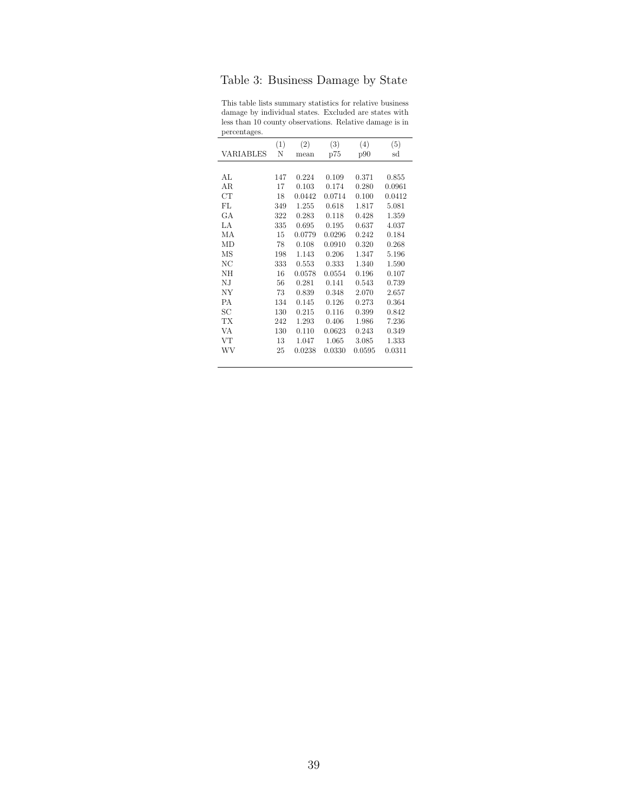## Table 3: Business Damage by State

This table lists summary statistics for relative business damage by individual states. Excluded are states with less than 10 county observations. Relative damage is in percentages.

| percentages. |     |        |        |            |        |
|--------------|-----|--------|--------|------------|--------|
|              | (1) | (2)    | (3)    | (4)        | (5)    |
| VARIABLES    | Ν   | mean   | p75    | p90        | sd     |
|              |     |        |        |            |        |
| AL           | 147 | 0.224  | 0.109  | 0.371      | 0.855  |
| AR           | 17  | 0.103  | 0.174  | 0.280      | 0.0961 |
| $_{\rm CT}$  | 18  | 0.0442 | 0.0714 | 0.100      | 0.0412 |
| FL           | 349 | 1.255  | 0.618  | 1.817      | 5.081  |
| GА           | 322 | 0.283  | 0.118  | 0.428      | 1.359  |
| LA           | 335 | 0.695  | 0.195  | $_{0.637}$ | 4.037  |
| МA           | 15  | 0.0779 | 0.0296 | 0.242      | 0.184  |
| MD           | 78  | 0.108  | 0.0910 | 0.320      | 0.268  |
| MS           | 198 | 1.143  | 0.206  | 1.347      | 5.196  |
| NC           | 333 | 0.553  | 0.333  | 1.340      | 1.590  |
| NΗ           | 16  | 0.0578 | 0.0554 | 0.196      | 0.107  |
| NJ           | 56  | 0.281  | 0.141  | 0.543      | 0.739  |
| NY           | 73  | 0.839  | 0.348  | 2.070      | 2.657  |
| PA           | 134 | 0.145  | 0.126  | 0.273      | 0.364  |
| SС           | 130 | 0.215  | 0.116  | 0.399      | 0.842  |
| <b>TX</b>    | 242 | 1.293  | 0.406  | 1.986      | 7.236  |
| VA           | 130 | 0.110  | 0.0623 | 0.243      | 0.349  |
| VT           | 13  | 1.047  | 1.065  | 3.085      | 1.333  |
| WV           | 25  | 0.0238 | 0.0330 | 0.0595     | 0.0311 |
|              |     |        |        |            |        |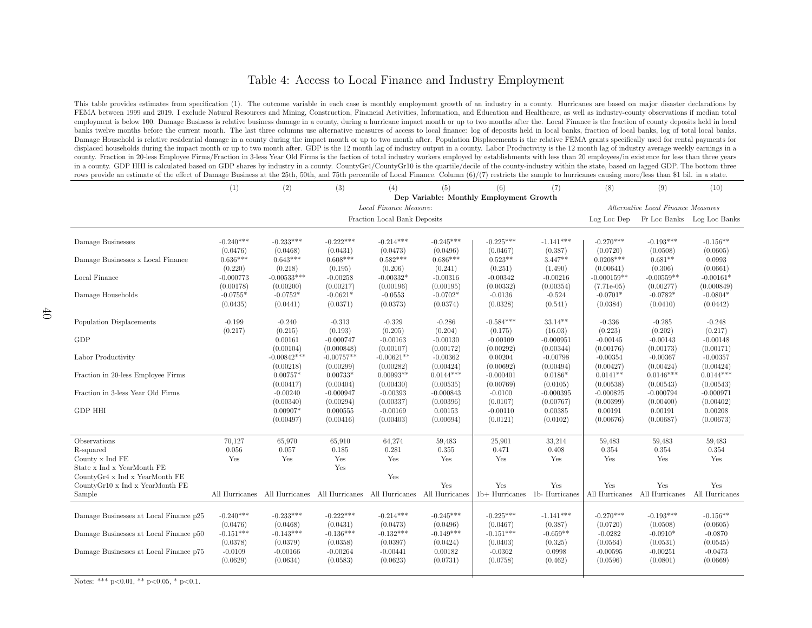### Table 4: Access to Local Finance and Industry Employment

This table provides estimates from specification (1). The outcome variable in each case is monthly employment growth of an industry in a county. Hurricanes are based on major disaster declarations by FEMA between 1999 and 2019. I exclude Natural Resources and Mining, Construction, Financial Activities, Information, and Education and Healthcare, as well as industry-county observations if median total employment is below 100. Damage Business is relative business damage in a county, during a hurricane impact month or up to two months after the. Local Finance is the fraction of county deposits held in local banks twelve months before the current month. The last three columns use alternative measures of access to local finance: log of deposits held in local banks, fraction of local banks, log of total local banks. Damage Household is relative residential damage in <sup>a</sup> county during the impact month or up to two month after. Population Displacements is the relative FEMA grants specifically used for rental payments for displaced households during the impact month or up to two month after. GDP is the 12 month lag of industry output in <sup>a</sup> county. Labor Productivity is the 12 month lag of industry average weekly earnings in <sup>a</sup> county. Fraction in 20-less Employee Firms/Fraction in 3-less Year Old Firms is the faction of total industry workers employed by establishments with less than <sup>20</sup> employees/in existence for less than three years in <sup>a</sup> county. GDP HHI is calculated based on GDP shares by industry in <sup>a</sup> county. CountyGr4/CountyGr10 is the quartile/decile of the county-industry within the state, based on lagged GDP. The bottom threerows provide an estimate of the effect of Damage Business at the 25th, 50th, and 75th percentile of Local Finance. Column (6)/(7) restricts the sample to hurricanes causing more/less than \$1 bil. in a state.

|                                        | (1)                     | (2)                                                                        | (3)                   | (4)                          | (5)                     | (6)                                     | (7)                    | (8)                           | (9)                                    | (10)                    |
|----------------------------------------|-------------------------|----------------------------------------------------------------------------|-----------------------|------------------------------|-------------------------|-----------------------------------------|------------------------|-------------------------------|----------------------------------------|-------------------------|
|                                        |                         |                                                                            |                       |                              |                         | Dep Variable: Monthly Employment Growth |                        |                               |                                        |                         |
|                                        |                         |                                                                            |                       | Local Finance Measure:       |                         |                                         |                        |                               | Alternative Local Finance Measures     |                         |
|                                        |                         |                                                                            |                       | Fraction Local Bank Deposits |                         |                                         |                        |                               | Log Loc Dep Fr Loc Banks Log Loc Banks |                         |
|                                        |                         |                                                                            | $-0.222***$           |                              |                         |                                         |                        |                               |                                        |                         |
| Damage Businesses                      | $-0.240***$<br>(0.0476) | $-0.233***$<br>(0.0468)                                                    | (0.0431)              | $-0.214***$<br>(0.0473)      | $-0.245***$<br>(0.0496) | $-0.225***$<br>(0.0467)                 | $-1.141***$<br>(0.387) | $-0.270***$<br>(0.0720)       | $-0.193***$<br>(0.0508)                | $-0.156**$<br>(0.0605)  |
| Damage Businesses x Local Finance      | $0.636***$              | $0.643***$                                                                 | $0.608***$            | $0.582***$                   | $0.686***$              | $0.523**$                               | $3.447**$              | $0.0208***$                   | $0.681**$                              | 0.0993                  |
|                                        |                         |                                                                            |                       |                              |                         |                                         |                        |                               |                                        |                         |
| Local Finance                          | (0.220)<br>$-0.000773$  | (0.218)<br>$-0.00533***$                                                   | (0.195)<br>$-0.00258$ | (0.206)<br>$-0.00332*$       | (0.241)<br>$-0.00316$   | (0.251)<br>$-0.00342$                   | (1.490)<br>$-0.00216$  | (0.00641)<br>$-0.000159**$    | (0.306)<br>$-0.00559**$                | (0.0661)<br>$-0.00161*$ |
|                                        |                         |                                                                            |                       |                              |                         |                                         |                        |                               |                                        |                         |
|                                        | (0.00178)               | (0.00200)                                                                  | (0.00217)             | (0.00196)                    | (0.00195)               | (0.00332)                               | (0.00354)              | $(7.71e-05)$<br>$-0.0701*$    | (0.00277)                              | (0.000849)              |
| Damage Households                      | $-0.0755*$              | $-0.0752*$                                                                 | $-0.0621*$            | $-0.0553$                    | $-0.0702*$              | $-0.0136$                               | $-0.524$               |                               | $-0.0782*$                             | $-0.0804*$              |
|                                        | (0.0435)                | (0.0441)                                                                   | (0.0371)              | (0.0373)                     | (0.0374)                | (0.0328)                                | (0.541)                | (0.0384)                      | (0.0410)                               | (0.0442)                |
| Population Displacements               | $-0.199$                | $-0.240$                                                                   | $-0.313$              | $-0.329$                     | $-0.286$                | $-0.584***$                             | $33.14**$              | $-0.336$                      | $-0.285$                               | $-0.248$                |
|                                        | (0.217)                 | (0.215)                                                                    | (0.193)               | (0.205)                      | (0.204)                 | (0.175)                                 | (16.03)                | (0.223)                       | (0.202)                                | (0.217)                 |
| GDP                                    |                         | 0.00161                                                                    | $-0.000747$           | $-0.00163$                   | $-0.00130$              | $-0.00109$                              | $-0.000951$            | $-0.00145$                    | $-0.00143$                             | $-0.00148$              |
|                                        |                         | (0.00104)                                                                  | (0.000848)            | (0.00107)                    | (0.00172)               | (0.00292)                               | (0.00344)              | (0.00176)                     | (0.00173)                              | (0.00171)               |
| Labor Productivity                     |                         | $-0.00842***$                                                              | $-0.00757**$          | $-0.00621**$                 | $-0.00362$              | 0.00204                                 | $-0.00798$             | $-0.00354$                    | $-0.00367$                             | $-0.00357$              |
|                                        |                         | (0.00218)                                                                  | (0.00299)             | (0.00282)                    | (0.00424)               | (0.00692)                               | (0.00494)              | (0.00427)                     | (0.00424)                              | (0.00424)               |
| Fraction in 20-less Employee Firms     |                         | $0.00757*$                                                                 | $0.00733*$            | $0.00993**$                  | $0.0144***$             | $-0.000401$                             | $0.0186*$              | $0.0141**$                    | $0.0146***$                            | $0.0144***$             |
|                                        |                         | (0.00417)                                                                  | (0.00404)             | (0.00430)                    | (0.00535)               | (0.00769)                               | (0.0105)               | (0.00538)                     | (0.00543)                              | (0.00543)               |
| Fraction in 3-less Year Old Firms      |                         | $-0.00240$                                                                 | $-0.000947$           | $-0.00393$                   | $-0.000843$             | $-0.0100$                               | $-0.000395$            | $-0.000825$                   | $-0.000794$                            | $-0.000971$             |
|                                        |                         | (0.00340)                                                                  | (0.00294)             | (0.00337)                    | (0.00396)               | (0.0107)                                | (0.00767)              | (0.00399)                     | (0.00400)                              | (0.00402)               |
| <b>GDP HHI</b>                         |                         | $0.00907*$                                                                 | 0.000555              | $-0.00169$                   | 0.00153                 | $-0.00110$                              | 0.00385                | 0.00191                       | 0.00191                                | 0.00208                 |
|                                        |                         | (0.00497)                                                                  | (0.00416)             | (0.00403)                    | (0.00694)               | (0.0121)                                | (0.0102)               | (0.00676)                     | (0.00687)                              | (0.00673)               |
|                                        |                         |                                                                            |                       |                              |                         |                                         |                        |                               |                                        |                         |
| Observations                           | 70,127                  | 65,970                                                                     | 65,910                | 64,274                       | 59,483                  | 25,901                                  | 33,214                 | 59,483                        | 59,483                                 | 59,483                  |
| R-squared                              | $0.056\,$               | 0.057                                                                      | 0.185                 | 0.281                        | 0.355                   | 0.471                                   | 0.408                  | 0.354                         | 0.354                                  | 0.354                   |
| County x Ind FE                        | Yes                     | Yes                                                                        | Yes                   | Yes                          | Yes                     | Yes                                     | Yes                    | Yes                           | Yes                                    | Yes                     |
| State x Ind x YearMonth FE             |                         |                                                                            | Yes                   |                              |                         |                                         |                        |                               |                                        |                         |
| CountyGr4 x Ind x YearMonth FE         |                         |                                                                            |                       | Yes                          |                         |                                         |                        |                               |                                        |                         |
| CountyGr10 x Ind x YearMonth FE        |                         |                                                                            |                       |                              | Yes                     | Yes                                     | Yes                    | Yes                           | Yes                                    | Yes                     |
| Sample                                 |                         | All Hurricanes All Hurricanes All Hurricanes All Hurricanes All Hurricanes |                       |                              |                         | 1b+ Hurricanes 1b- Hurricanes           |                        | All Hurricanes All Hurricanes |                                        | All Hurricanes          |
|                                        |                         |                                                                            |                       |                              |                         |                                         |                        |                               |                                        |                         |
| Damage Businesses at Local Finance p25 | $-0.240***$             | $-0.233***$                                                                | $-0.222***$           | $-0.214***$                  | $-0.245***$             | $-0.225***$                             | $-1.141***$            | $-0.270***$                   | $-0.193***$                            | $-0.156**$              |
|                                        | (0.0476)                | (0.0468)                                                                   | (0.0431)              | (0.0473)                     | (0.0496)                | (0.0467)                                | (0.387)                | (0.0720)                      | (0.0508)                               | (0.0605)                |
| Damage Businesses at Local Finance p50 | $-0.151***$             | $-0.143***$                                                                | $-0.136***$           | $-0.132***$                  | $-0.149***$             | $-0.151***$                             | $-0.659**$             | $-0.0282$                     | $-0.0910*$                             | $-0.0870$               |
|                                        | (0.0378)                | (0.0379)                                                                   | (0.0358)              | (0.0397)                     | (0.0424)                | (0.0403)                                | (0.325)                | (0.0564)                      | (0.0531)                               | (0.0545)                |
| Damage Businesses at Local Finance p75 | $-0.0109$               | $-0.00166$                                                                 | $-0.00264$            | $-0.00441$                   | 0.00182                 | $-0.0362$                               | 0.0998                 | $-0.00595$                    | $-0.00251$                             | $-0.0473$               |
|                                        | (0.0629)                | (0.0634)                                                                   | (0.0583)              | (0.0623)                     | (0.0731)                | (0.0758)                                | (0.462)                | (0.0596)                      | (0.0801)                               | (0.0669)                |
|                                        |                         |                                                                            |                       |                              |                         |                                         |                        |                               |                                        |                         |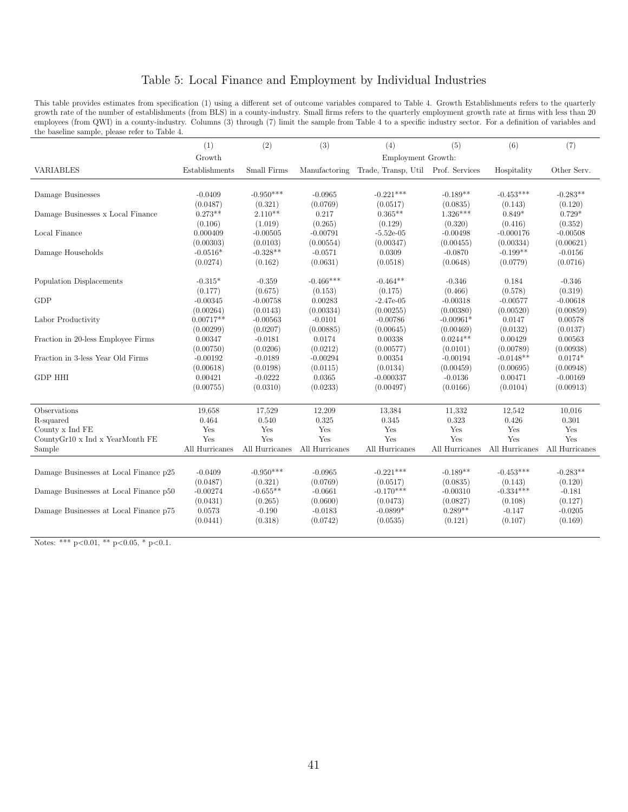## Table 5: Local Finance and Employment by Individual Industries

This table provides estimates from specification (1) using a different set of outcome variables compared to Table 4. Growth Establishments refers to the quarterly growth rate of the number of establishments (from BLS) in a county-industry. Small firms refers to the quarterly employment growth rate at firms with less than 20 employees (from QWI) in a county-industry. Columns (3) through (7) limit the sample from Table 4 to a specific industry sector. For a definition of variables and the baseline sample, please refer to Table 4.

|                                        | (1)            | (2)            | (3)            | (4)                                | (5)            | (6)            | (7)            |
|----------------------------------------|----------------|----------------|----------------|------------------------------------|----------------|----------------|----------------|
|                                        | Growth         |                |                | Employment Growth:                 |                |                |                |
| <b>VARIABLES</b>                       | Establishments | Small Firms    | Manufactoring  | Trade, Transp, Util Prof. Services |                | Hospitality    | Other Serv.    |
|                                        |                |                |                |                                    |                |                |                |
| Damage Businesses                      | $-0.0409$      | $-0.950***$    | $-0.0965$      | $-0.221***$                        | $-0.189**$     | $-0.453***$    | $-0.283**$     |
|                                        | (0.0487)       | (0.321)        | (0.0769)       | (0.0517)                           | (0.0835)       | (0.143)        | (0.120)        |
| Damage Businesses x Local Finance      | $0.273**$      | $2.110**$      | 0.217          | $0.365**$                          | $1.326***$     | $0.849*$       | $0.729*$       |
|                                        | (0.106)        | (1.019)        | (0.265)        | (0.129)                            | (0.320)        | (0.416)        | (0.352)        |
| Local Finance                          | 0.000409       | $-0.00505$     | $-0.00791$     | $-5.52e-05$                        | $-0.00498$     | $-0.000176$    | $-0.00508$     |
|                                        | (0.00303)      | (0.0103)       | (0.00554)      | (0.00347)                          | (0.00455)      | (0.00334)      | (0.00621)      |
| Damage Households                      | $-0.0516*$     | $-0.328**$     | $-0.0571$      | 0.0309                             | $-0.0870$      | $-0.199**$     | $-0.0156$      |
|                                        | (0.0274)       | (0.162)        | (0.0631)       | (0.0518)                           | (0.0648)       | (0.0779)       | (0.0716)       |
| Population Displacements               | $-0.315*$      | $-0.359$       | $-0.466***$    | $-0.464**$                         | $-0.346$       | 0.184          | $-0.346$       |
|                                        | (0.177)        | (0.675)        | (0.153)        | (0.175)                            | (0.466)        | (0.578)        | (0.319)        |
| GDP                                    | $-0.00345$     | $-0.00758$     | 0.00283        | $-2.47e-05$                        | $-0.00318$     | $-0.00577$     | $-0.00618$     |
|                                        | (0.00264)      | (0.0143)       | (0.00334)      | (0.00255)                          | (0.00380)      | (0.00520)      | (0.00859)      |
| Labor Productivity                     | $0.00717**$    | $-0.00563$     | $-0.0101$      | $-0.00786$                         | $-0.00961*$    | 0.0147         | 0.00578        |
|                                        | (0.00299)      | (0.0207)       | (0.00885)      | (0.00645)                          | (0.00469)      | (0.0132)       | (0.0137)       |
| Fraction in 20-less Employee Firms     | 0.00347        | $-0.0181$      | 0.0174         | 0.00338                            | $0.0244**$     | 0.00429        | 0.00563        |
|                                        | (0.00750)      | (0.0206)       | (0.0212)       | (0.00577)                          | (0.0101)       | (0.00789)      | (0.00938)      |
| Fraction in 3-less Year Old Firms      | $-0.00192$     | $-0.0189$      | $-0.00294$     | 0.00354                            | $-0.00194$     | $-0.0148**$    | $0.0174*$      |
|                                        | (0.00618)      | (0.0198)       | (0.0115)       | (0.0134)                           | (0.00459)      | (0.00695)      | (0.00948)      |
| <b>GDP HHI</b>                         | 0.00421        | $-0.0222$      | 0.0365         | $-0.000337$                        | $-0.0136$      | 0.00471        | $-0.00169$     |
|                                        | (0.00755)      | (0.0310)       | (0.0233)       | (0.00497)                          | (0.0166)       | (0.0104)       | (0.00913)      |
|                                        |                |                |                |                                    |                |                |                |
| Observations                           | 19,658         | 17.529         | 12,209         | 13,384                             | 11.332         | 12,542         | 10,016         |
| R-squared                              | 0.464          | 0.540          | 0.325          | 0.345                              | 0.323          | 0.426          | 0.301          |
| County x Ind FE                        | Yes            | Yes            | Yes            | Yes                                | Yes            | Yes            | Yes            |
| CountyGr10 x Ind x YearMonth FE        | Yes            | Yes            | <b>Yes</b>     | Yes                                | Yes            | Yes            | Yes            |
| Sample                                 | All Hurricanes | All Hurricanes | All Hurricanes | All Hurricanes                     | All Hurricanes | All Hurricanes | All Hurricanes |
|                                        |                |                |                |                                    |                |                |                |
| Damage Businesses at Local Finance p25 | $-0.0409$      | $-0.950***$    | $-0.0965$      | $-0.221***$                        | $-0.189**$     | $-0.453***$    | $-0.283**$     |
|                                        | (0.0487)       | (0.321)        | (0.0769)       | (0.0517)                           | (0.0835)       | (0.143)        | (0.120)        |
| Damage Businesses at Local Finance p50 | $-0.00274$     | $-0.655**$     | $-0.0661$      | $-0.170***$                        | $-0.00310$     | $-0.334***$    | $-0.181$       |
|                                        | (0.0431)       | (0.265)        | (0.0600)       | (0.0473)                           | (0.0827)       | (0.108)        | (0.127)        |
| Damage Businesses at Local Finance p75 | 0.0573         | $-0.190$       | $-0.0183$      | $-0.0899*$                         | $0.289**$      | $-0.147$       | $-0.0205$      |
|                                        | (0.0441)       | (0.318)        | (0.0742)       | (0.0535)                           | (0.121)        | (0.107)        | (0.169)        |
|                                        |                |                |                |                                    |                |                |                |

Notes: \*\*\*  $p<0.01$ , \*\*  $p<0.05$ , \*  $p<0.1$ .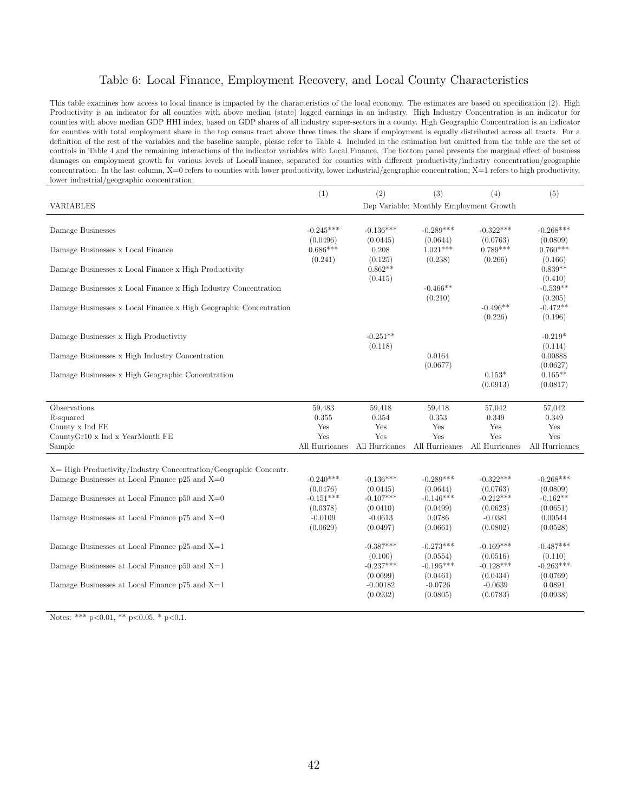### Table 6: Local Finance, Employment Recovery, and Local County Characteristics

This table examines how access to local finance is impacted by the characteristics of the local economy. The estimates are based on specification (2). High Productivity is an indicator for all counties with above median (state) lagged earnings in an industry. High Industry Concentration is an indicator for counties with above median GDP HHI index, based on GDP shares of all industry super-sectors in a county. High Geographic Concentration is an indicator for counties with total employment share in the top census tract above three times the share if employment is equally distributed across all tracts. For a definition of the rest of the variables and the baseline sample, please refer to Table 4. Included in the estimation but omitted from the table are the set of controls in Table 4 and the remaining interactions of the indicator variables with Local Finance. The bottom panel presents the marginal effect of business damages on employment growth for various levels of LocalFinance, separated for counties with different productivity/industry concentration/geographic concentration. In the last column,  $X=0$  refers to counties with lower productivity, lower industrial/geographic concentration;  $X=1$  refers to high productivity, lower industrial/geographic concentration.

|                                                                                                                           | (1)                     | (2)                     | (3)                                     | (4)                     | (5)                     |
|---------------------------------------------------------------------------------------------------------------------------|-------------------------|-------------------------|-----------------------------------------|-------------------------|-------------------------|
| VARIABLES                                                                                                                 |                         |                         | Dep Variable: Monthly Employment Growth |                         |                         |
| Damage Businesses                                                                                                         | $-0.245***$<br>(0.0496) | $-0.136***$<br>(0.0445) | $-0.289***$<br>(0.0644)                 | $-0.322***$<br>(0.0763) | $-0.268***$<br>(0.0809) |
| Damage Businesses x Local Finance                                                                                         | $0.686***$<br>(0.241)   | 0.208<br>(0.125)        | $1.021***$<br>(0.238)                   | $0.789***$<br>(0.266)   | $0.760***$<br>(0.166)   |
| Damage Businesses x Local Finance x High Productivity                                                                     |                         | $0.862**$<br>(0.415)    |                                         |                         | $0.839**$<br>(0.410)    |
| Damage Businesses x Local Finance x High Industry Concentration                                                           |                         |                         | $-0.466**$<br>(0.210)                   |                         | $-0.539**$<br>(0.205)   |
| Damage Businesses x Local Finance x High Geographic Concentration                                                         |                         |                         |                                         | $-0.496**$<br>(0.226)   | $-0.472**$<br>(0.196)   |
| Damage Businesses x High Productivity                                                                                     |                         | $-0.251**$<br>(0.118)   |                                         |                         | $-0.219*$<br>(0.114)    |
| Damage Businesses x High Industry Concentration                                                                           |                         |                         | 0.0164<br>(0.0677)                      |                         | 0.00888<br>(0.0627)     |
| Damage Businesses x High Geographic Concentration                                                                         |                         |                         |                                         | $0.153*$<br>(0.0913)    | $0.165**$<br>(0.0817)   |
| Observations                                                                                                              | 59,483                  | 59,418                  | 59,418                                  | 57,042                  | 57,042                  |
| R-squared                                                                                                                 | 0.355                   | 0.354                   | 0.353                                   | 0.349                   | 0.349                   |
| County x Ind FE                                                                                                           | Yes                     | Yes                     | Yes                                     | Yes                     | Yes                     |
| CountyGr10 x Ind x YearMonth FE                                                                                           | Yes                     | Yes                     | Yes                                     | Yes                     | Yes                     |
| Sample                                                                                                                    | All Hurricanes          | All Hurricanes          | All Hurricanes                          | All Hurricanes          | All Hurricanes          |
|                                                                                                                           |                         |                         |                                         |                         |                         |
| $X = High Productivity/Industry$ Concentration/Geographic Concentr.<br>Damage Businesses at Local Finance $p25$ and $X=0$ | $-0.240***$             | $-0.136***$             | $-0.289***$                             | $-0.322***$             | $-0.268***$             |
|                                                                                                                           | (0.0476)                | (0.0445)                | (0.0644)                                | (0.0763)                | (0.0809)                |
| Damage Businesses at Local Finance $p50$ and $X=0$                                                                        | $-0.151***$             | $-0.107***$             | $-0.146***$                             | $-0.212***$             | $-0.162**$              |
|                                                                                                                           | (0.0378)                | (0.0410)                | (0.0499)                                | (0.0623)                | (0.0651)                |
| Damage Businesses at Local Finance $p75$ and $X=0$                                                                        | $-0.0109$               | $-0.0613$               | 0.0786                                  | $-0.0381$               | 0.00544                 |
|                                                                                                                           | (0.0629)                | (0.0497)                | (0.0661)                                | (0.0802)                | (0.0528)                |
| Damage Businesses at Local Finance p25 and X=1                                                                            |                         | $-0.387***$             | $-0.273***$                             | $-0.169***$             | $-0.487***$             |
| Damage Businesses at Local Finance $p50$ and $X=1$                                                                        |                         | (0.100)<br>$-0.237***$  | (0.0554)<br>$-0.195***$                 | (0.0516)<br>$-0.128***$ | (0.110)<br>$-0.263***$  |
|                                                                                                                           |                         | (0.0699)                | (0.0461)                                | (0.0434)                | (0.0769)                |
| Damage Businesses at Local Finance p75 and $\mathbf{X}{=}1$                                                               |                         | $-0.00182$              | $-0.0726$                               | $-0.0639$               | 0.0891                  |
|                                                                                                                           |                         | (0.0932)                | (0.0805)                                | (0.0783)                | (0.0938)                |
|                                                                                                                           |                         |                         |                                         |                         |                         |

Notes: \*\*\*  $p<0.01$ , \*\*  $p<0.05$ , \*  $p<0.1$ .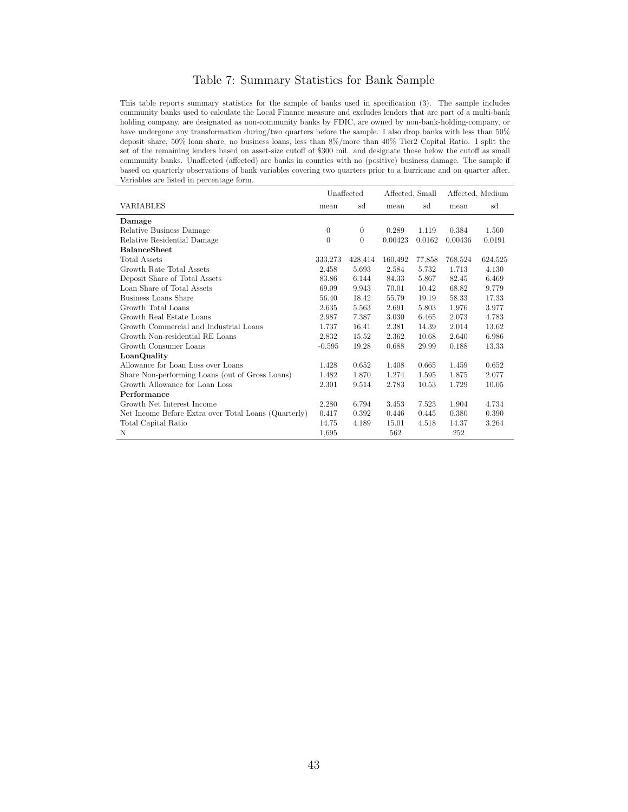### Table 7: Summary Statistics for Bank Sample

This table reports summary statistics for the sample of banks used in specification (3). The sample includes community banks used to calculate the Local Finance measure and excludes lenders that are part of a multi-bank holding company, are designated as non-community banks by FDIC, are owned by non-bank-holding-company, or have undergone any transformation during/two quarters before the sample. I also drop banks with less than 50% deposit share, 50% loan share, no business loans, less than 8%/more than 40% Tier2 Capital Ratio. I split the set of the remaining lenders based on asset-size cutoff of \$300 mil. and designate those below the cutoff as small community banks. Unaffected (affected) are banks in counties with no (positive) business damage. The sample if based on quarterly observations of bank variables covering two quarters prior to a hurricane and on quarter after. Variables are listed in percentage form.

|                                                      |          | Unaffected     | Affected, Small |        | Affected, Medium |         |
|------------------------------------------------------|----------|----------------|-----------------|--------|------------------|---------|
| VARIABLES                                            | mean     | sd             | mean            | sd     | mean             | sd      |
| Damage                                               |          |                |                 |        |                  |         |
| Relative Business Damage                             | $\Omega$ | $\theta$       | 0.289           | 1.119  | 0.384            | 1.560   |
| Relative Residential Damage                          | $\Omega$ | $\overline{0}$ | 0.00423         | 0.0162 | 0.00436          | 0.0191  |
| <b>BalanceSheet</b>                                  |          |                |                 |        |                  |         |
| <b>Total Assets</b>                                  | 333,273  | 428,414        | 160,492         | 77,858 | 768,524          | 624,525 |
| Growth Rate Total Assets                             | 2.458    | 5.693          | 2.584           | 5.732  | 1.713            | 4.130   |
| Deposit Share of Total Assets                        | 83.86    | 6.144          | 84.33           | 5.867  | 82.45            | 6.469   |
| Loan Share of Total Assets                           | 69.09    | 9.943          | 70.01           | 10.42  | 68.82            | 9.779   |
| Business Loans Share                                 | 56.40    | 18.42          | 55.79           | 19.19  | 58.33            | 17.33   |
| Growth Total Loans                                   | 2.635    | 5.563          | 2.691           | 5.803  | 1.976            | 3.977   |
| Growth Real Estate Loans                             | 2.987    | 7.387          | 3.030           | 6.465  | 2.073            | 4.783   |
| Growth Commercial and Industrial Loans               | 1.737    | 16.41          | 2.381           | 14.39  | 2.014            | 13.62   |
| Growth Non-residential RE Loans                      | 2.832    | 15.52          | 2.362           | 10.68  | 2.640            | 6.986   |
| Growth Consumer Loans                                | $-0.595$ | 19.28          | 0.688           | 29.99  | 0.188            | 13.33   |
| LoanQuality                                          |          |                |                 |        |                  |         |
| Allowance for Loan Loss over Loans                   | 1.428    | 0.652          | 1.408           | 0.665  | 1.459            | 0.652   |
| Share Non-performing Loans (out of Gross Loans)      | 1.482    | 1.870          | 1.274           | 1.595  | 1.875            | 2.077   |
| Growth Allowance for Loan Loss                       | 2.301    | 9.514          | 2.783           | 10.53  | 1.729            | 10.05   |
| Performance                                          |          |                |                 |        |                  |         |
| Growth Net Interest Income                           | 2.280    | 6.794          | 3.453           | 7.523  | 1.904            | 4.734   |
| Net Income Before Extra over Total Loans (Quarterly) | 0.417    | 0.392          | 0.446           | 0.445  | 0.380            | 0.390   |
| Total Capital Ratio                                  | 14.75    | 4.189          | 15.01           | 4.518  | 14.37            | 3.264   |
| N                                                    | 1,695    |                | 562             |        | 252              |         |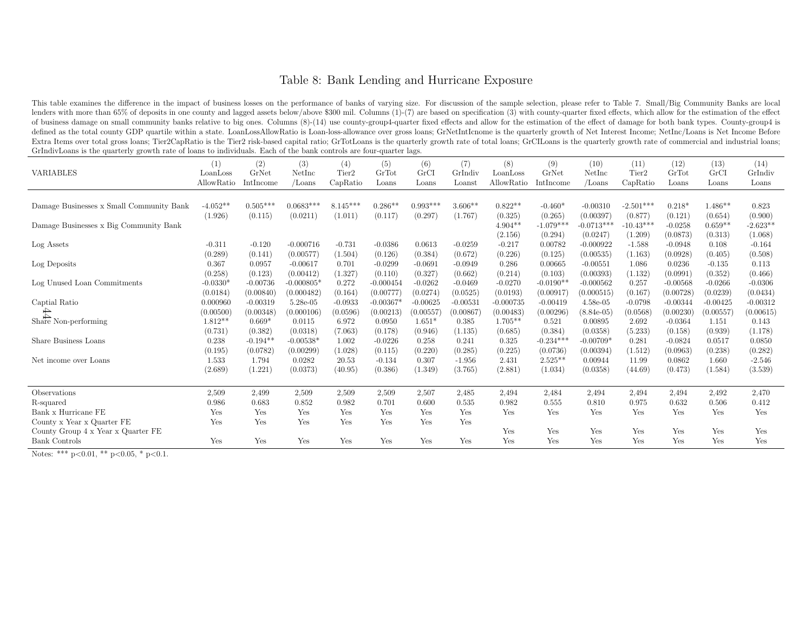### Table 8: Bank Lending and Hurricane Exposure

This table examines the difference in the impact of business losses on the performance of banks of varying size. For discussion of the sample selection, please refer to Table 7. Small/Big Community Banks are local lenders with more than 65% of deposits in one county and lagged assets below/above \$300 mil. Columns (1)-(7) are based on specification (3) with county-quarter fixed effects, which allow for the estimation of the effect of business damage on small community banks relative to big ones. Columns (8)-(14) use county-group4-quarter fixed effects and allow for the estimation of the effect of damage for both bank types. County-group4 is defined as the total county GDP quartile within <sup>a</sup> state. LoanLossAllowRatio is Loan-loss-allowance over gross loans; GrNetIntIcnome is the quarterly growth of Net Interest Income; NetInc/Loans is Net Income BeforeExtra Items over total gross loans; Tier2CapRatio is the Tier2 risk-based capital ratio; GrTotLoans is the quarterly growth rate of total loans; GrCILoans is the quarterly growth rate of commercial and industrial loans; GrIndivLoans is the quarterly growth rate of loans to individuals. Each of the bank controls are four-quarter lags.

| <b>VARIABLES</b>                         | (1)<br>LoanLoss | (2)<br>GrNet | (3)<br>NetInc | (4)<br>Tier2 | (5)<br>GrTot | (6)<br>GrCl | (7)<br>GrIndiv | (8)<br>LoanLoss | (9)<br>GrNet | (10)<br>NetInc | (11)<br>Tier2 | (12)<br>GrTot | (13)<br>GrCI | (14)<br>GrIndiv |
|------------------------------------------|-----------------|--------------|---------------|--------------|--------------|-------------|----------------|-----------------|--------------|----------------|---------------|---------------|--------------|-----------------|
|                                          | AllowRatio      | IntIncome    | /Loans        | CapRatio     | Loans        | Loans       | Loanst         | AllowRatio      | IntIncome    | /Loans         | CapRatio      | Loans         | Loans        | Loans           |
|                                          |                 |              |               |              |              |             |                |                 |              |                |               |               |              |                 |
| Damage Businesses x Small Community Bank | $-4.052**$      | $0.505***$   | $0.0683***$   | $8.145***$   | $0.286**$    | $0.993***$  | $3.606**$      | $0.822**$       | $-0.460*$    | $-0.00310$     | $-2.501***$   | $0.218*$      | $1.486**$    | 0.823           |
|                                          | (1.926)         | (0.115)      | (0.0211)      | (1.011)      | (0.117)      | (0.297)     | (1.767)        | (0.325)         | (0.265)      | (0.00397)      | (0.877)       | (0.121)       | (0.654)      | (0.900)         |
| Damage Businesses x Big Community Bank   |                 |              |               |              |              |             |                | $4.904**$       | $-1.079***$  | $-0.0713***$   | $-10.43***$   | $-0.0258$     | $0.659**$    | $-2.623**$      |
|                                          |                 |              |               |              |              |             |                | (2.156)         | (0.294)      | (0.0247)       | (1.209)       | (0.0873)      | (0.313)      | (1.068)         |
| Log Assets                               | $-0.311$        | $-0.120$     | $-0.000716$   | $-0.731$     | $-0.0386$    | 0.0613      | $-0.0259$      | $-0.217$        | 0.00782      | $-0.000922$    | $-1.588$      | $-0.0948$     | 0.108        | $-0.164$        |
|                                          | (0.289)         | (0.141)      | (0.00577)     | (1.504)      | (0.126)      | (0.384)     | (0.672)        | (0.226)         | (0.125)      | (0.00535)      | (1.163)       | (0.0928)      | (0.405)      | (0.508)         |
| Log Deposits                             | 0.367           | 0.0957       | $-0.00617$    | 0.701        | $-0.0299$    | $-0.0691$   | $-0.0949$      | 0.286           | 0.00665      | $-0.00551$     | 1.086         | 0.0236        | $-0.135$     | 0.113           |
|                                          | (0.258)         | (0.123)      | (0.00412)     | (1.327)      | (0.110)      | (0.327)     | (0.662)        | (0.214)         | (0.103)      | (0.00393)      | (1.132)       | (0.0991)      | (0.352)      | (0.466)         |
| Log Unused Loan Commitments              | $-0.0330*$      | $-0.00736$   | $-0.000805*$  | 0.272        | $-0.000454$  | $-0.0262$   | $-0.0469$      | $-0.0270$       | $-0.0190**$  | $-0.000562$    | 0.257         | $-0.00568$    | $-0.0266$    | $-0.0306$       |
|                                          | (0.0184)        | (0.00840)    | (0.000482)    | (0.164)      | (0.00777)    | (0.0274)    | (0.0525)       | (0.0193)        | (0.00917)    | (0.000515)     | (0.167)       | (0.00728)     | (0.0239)     | (0.0434)        |
| Captial Ratio                            | 0.000960        | $-0.00319$   | $5.28e-0.5$   | $-0.0933$    | $-0.00367*$  | $-0.00625$  | $-0.00531$     | $-0.000735$     | $-0.00419$   | $4.58e-05$     | $-0.0798$     | $-0.00344$    | $-0.00425$   | $-0.00312$      |
|                                          | (0.00500)       | (0.00348)    | (0.000106)    | (0.0596)     | (0.00213)    | (0.00557)   | (0.00867)      | (0.00483)       | (0.00296)    | $(8.84e-05)$   | (0.0568)      | (0.00230)     | (0.00557)    | (0.00615)       |
| Share Non-performing                     | $1.812**$       | $0.669*$     | 0.0115        | 6.972        | 0.0950       | $1.651*$    | 0.385          | $1.705**$       | 0.521        | 0.00895        | 2.692         | $-0.0364$     | 1.151        | 0.143           |
|                                          | (0.731)         | (0.382)      | (0.0318)      | (7.063)      | (0.178)      | (0.946)     | (1.135)        | (0.685)         | (0.384)      | (0.0358)       | (5.233)       | (0.158)       | (0.939)      | (1.178)         |
| Share Business Loans                     | 0.238           | $-0.194**$   | $-0.00538*$   | 1.002        | $-0.0226$    | 0.258       | 0.241          | 0.325           | $-0.234***$  | $-0.00709*$    | 0.281         | $-0.0824$     | 0.0517       | 0.0850          |
|                                          | (0.195)         | (0.0782)     | (0.00299)     | (1.028)      | (0.115)      | (0.220)     | (0.285)        | (0.225)         | (0.0736)     | (0.00394)      | (1.512)       | (0.0963)      | (0.238)      | (0.282)         |
| Net income over Loans                    | 1.533           | 1.794        | 0.0282        | 20.53        | $-0.134$     | 0.307       | $-1.956$       | 2.431           | $2.525**$    | 0.00944        | 11.99         | 0.0862        | 1.660        | $-2.546$        |
|                                          | (2.689)         | (1.221)      | (0.0373)      | (40.95)      | (0.386)      | (1.349)     | (3.765)        | (2.881)         | (1.034)      | (0.0358)       | (44.69)       | (0.473)       | (1.584)      | (3.539)         |
|                                          |                 |              |               |              |              |             |                |                 |              |                |               |               |              |                 |
| Observations                             | 2,509           | 2,499        | 2,509         | 2,509        | 2,509        | 2,507       | 2,485          | 2,494           | 2,484        | 2,494          | 2,494         | 2,494         | 2,492        | 2,470           |
| R-squared                                | 0.986           | 0.683        | 0.852         | 0.982        | 0.701        | 0.600       | 0.535          | 0.982           | 0.555        | 0.810          | 0.975         | 0.632         | 0.506        | 0.412           |
| Bank x Hurricane FE                      | Yes             | Yes          | Yes           | Yes          | Yes          | Yes         | Yes            | Yes             | Yes          | Yes            | Yes           | Yes           | Yes          | Yes             |
| County x Year x Quarter FE               | Yes             | Yes          | Yes           | Yes          | Yes          | Yes         | Yes            |                 |              |                |               |               |              |                 |
| County Group 4 x Year x Quarter FE       |                 |              |               |              |              |             |                | Yes             | Yes          | Yes            | Yes           | Yes           | Yes          | Yes             |
| <b>Bank Controls</b>                     | Yes             | Yes          | Yes           | Yes          | Yes          | Yes         | Yes            | Yes             | Yes          | <b>Yes</b>     | Yes           | Yes           | Yes          | Yes             |

Notes: \*\*\*  $p<0.01$ , \*\*  $p<0.05$ , \*  $p<0.1$ .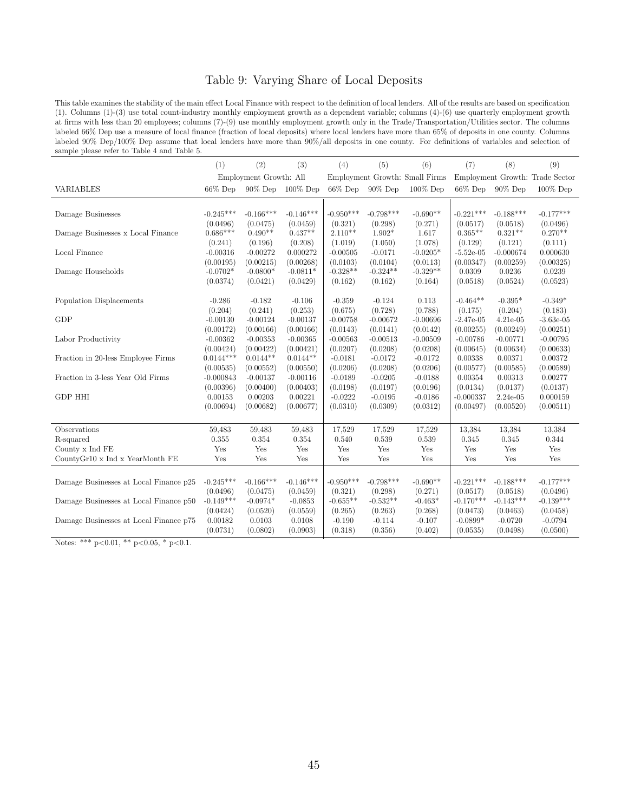### Table 9: Varying Share of Local Deposits

This table examines the stability of the main effect Local Finance with respect to the definition of local lenders. All of the results are based on specification (1). Columns (1)-(3) use total count-industry monthly employment growth as a dependent variable; columns (4)-(6) use quarterly employment growth at firms with less than 20 employees; columns (7)-(9) use monthly employment growth only in the Trade/Transportation/Utilities sector. The columns labeled 66% Dep use a measure of local finance (fraction of local deposits) where local lenders have more than 65% of deposits in one county. Columns labeled 90% Dep/100% Dep assume that local lenders have more than 90%/all deposits in one county. For definitions of variables and selection of sample please refer to Table 4 and Table 5.

|                                        | (1)         | (2)                    | (3)         | (4)         | (5)         | (6)                            | (7)                     | (8)                     | (9)                             |
|----------------------------------------|-------------|------------------------|-------------|-------------|-------------|--------------------------------|-------------------------|-------------------------|---------------------------------|
|                                        |             | Employment Growth: All |             |             |             | Employment Growth: Small Firms |                         |                         | Employment Growth: Trade Sector |
| VARIABLES                              | $66\%$ Dep  | $90\%$ Dep             | $100\%$ Dep | $66\%$ Dep  | $90\%$ Dep  | $100\%$ Dep                    | $66\%$ Dep              | $90\%$ Dep              | $100\%$ Dep                     |
|                                        |             |                        |             |             |             |                                |                         |                         |                                 |
| Damage Businesses                      | $-0.245***$ | $-0.166***$            | $-0.146***$ | $-0.950***$ | $-0.798***$ | $-0.690**$                     | $-0.221***$             | $-0.188***$             | $-0.177***$                     |
|                                        | (0.0496)    | (0.0475)               | (0.0459)    | (0.321)     | (0.298)     | (0.271)                        | (0.0517)                | (0.0518)                | (0.0496)                        |
| Damage Businesses x Local Finance      | $0.686***$  | $0.490**$              | $0.437**$   | $2.110**$   | $1.902*$    | 1.617                          | $0.365**$               | $0.321**$               | $0.270**$                       |
|                                        | (0.241)     | (0.196)                | (0.208)     | (1.019)     | (1.050)     | (1.078)                        | (0.129)                 | (0.121)                 | (0.111)                         |
| Local Finance                          | $-0.00316$  | $-0.00272$             | 0.000272    | $-0.00505$  | $-0.0171$   | $-0.0205*$                     | $-5.52e-05$             | $-0.000674$             | 0.000630                        |
|                                        | (0.00195)   | (0.00215)              | (0.00268)   | (0.0103)    | (0.0104)    | (0.0113)                       | (0.00347)               | (0.00259)               | (0.00325)                       |
| Damage Households                      | $-0.0702*$  | $-0.0800*$             | $-0.0811*$  | $-0.328**$  | $-0.324**$  | $-0.329**$                     | 0.0309                  | 0.0236                  | 0.0239                          |
|                                        | (0.0374)    | (0.0421)               | (0.0429)    | (0.162)     | (0.162)     | (0.164)                        | (0.0518)                | (0.0524)                | (0.0523)                        |
| Population Displacements               | $-0.286$    | $-0.182$               | $-0.106$    | $-0.359$    | $-0.124$    | 0.113                          | $-0.464**$              | $-0.395*$               | $-0.349*$                       |
|                                        | (0.204)     | (0.241)                | (0.253)     | (0.675)     | (0.728)     | (0.788)                        | (0.175)                 | (0.204)                 | (0.183)                         |
| GDP                                    | $-0.00130$  | $-0.00124$             | $-0.00137$  | $-0.00758$  | $-0.00672$  | $-0.00696$                     | $-2.47e-05$             | $4.21e-05$              | $-3.63e-05$                     |
|                                        | (0.00172)   | (0.00166)              | (0.00166)   | (0.0143)    | (0.0141)    | (0.0142)                       | (0.00255)               | (0.00249)               | (0.00251)                       |
| Labor Productivity                     | $-0.00362$  | $-0.00353$             | $-0.00365$  | $-0.00563$  | $-0.00513$  | $-0.00509$                     | $-0.00786$              | $-0.00771$              | $-0.00795$                      |
|                                        | (0.00424)   | (0.00422)              | (0.00421)   | (0.0207)    | (0.0208)    | (0.0208)                       | (0.00645)               | (0.00634)               | (0.00633)                       |
| Fraction in 20-less Employee Firms     | $0.0144***$ | $0.0144**$             | $0.0144**$  | $-0.0181$   | $-0.0172$   | $-0.0172$                      | 0.00338                 | 0.00371                 | 0.00372                         |
|                                        | (0.00535)   | (0.00552)              | (0.00550)   | (0.0206)    | (0.0208)    | (0.0206)                       | (0.00577)               | (0.00585)               | (0.00589)                       |
| Fraction in 3-less Year Old Firms      | $-0.000843$ | $-0.00137$             | $-0.00116$  | $-0.0189$   | $-0.0205$   | $-0.0188$                      | 0.00354                 | 0.00313                 | 0.00277                         |
|                                        | (0.00396)   | (0.00400)              | (0.00403)   | (0.0198)    | (0.0197)    | (0.0196)                       | (0.0134)                | (0.0137)                | (0.0137)                        |
| <b>GDP HHI</b>                         | 0.00153     | 0.00203                | 0.00221     | $-0.0222$   | $-0.0195$   | $-0.0186$                      | $-0.000337$             | $2.24e-05$              | 0.000159                        |
|                                        | (0.00694)   | (0.00682)              | (0.00677)   | (0.0310)    | (0.0309)    | (0.0312)                       | (0.00497)               | (0.00520)               | (0.00511)                       |
|                                        |             |                        |             |             |             |                                |                         |                         |                                 |
| Observations                           | 59,483      | 59,483                 | 59,483      | 17,529      | 17,529      | 17,529                         | 13,384                  | 13,384                  | 13,384                          |
| R-squared                              | 0.355       | 0.354                  | 0.354       | 0.540       | 0.539       | 0.539                          | 0.345                   | 0.345                   | 0.344                           |
| County x Ind FE                        | Yes         | Yes                    | Yes         | Yes         | Yes         | Yes                            | Yes                     | Yes                     | Yes                             |
| CountyGr10 x Ind x YearMonth FE        | Yes         | Yes                    | Yes         | Yes         | Yes         | Yes                            | Yes                     | Yes                     | Yes                             |
| Damage Businesses at Local Finance p25 | $-0.245***$ | $-0.166***$            | $-0.146***$ | $-0.950***$ | $-0.798***$ | $-0.690**$                     | $-0.221***$             | $-0.188***$             | $-0.177***$                     |
|                                        | (0.0496)    | (0.0475)               | (0.0459)    | (0.321)     | (0.298)     | (0.271)                        |                         |                         |                                 |
| Damage Businesses at Local Finance p50 | $-0.149***$ | $-0.0974*$             | $-0.0853$   | $-0.655**$  | $-0.532**$  | $-0.463*$                      | (0.0517)<br>$-0.170***$ | (0.0518)<br>$-0.143***$ | (0.0496)<br>$-0.139***$         |
|                                        | (0.0424)    | (0.0520)               | (0.0559)    | (0.265)     | (0.263)     | (0.268)                        | (0.0473)                | (0.0463)                | (0.0458)                        |
| Damage Businesses at Local Finance p75 | 0.00182     | 0.0103                 | 0.0108      | $-0.190$    | $-0.114$    | $-0.107$                       | $-0.0899*$              | $-0.0720$               | $-0.0794$                       |
|                                        | (0.0731)    | (0.0802)               | (0.0903)    | (0.318)     | (0.356)     | (0.402)                        | (0.0535)                | (0.0498)                | (0.0500)                        |
|                                        |             |                        |             |             |             |                                |                         |                         |                                 |

Notes: \*\*\* p<0.01, \*\* p<0.05, \* p<0.1.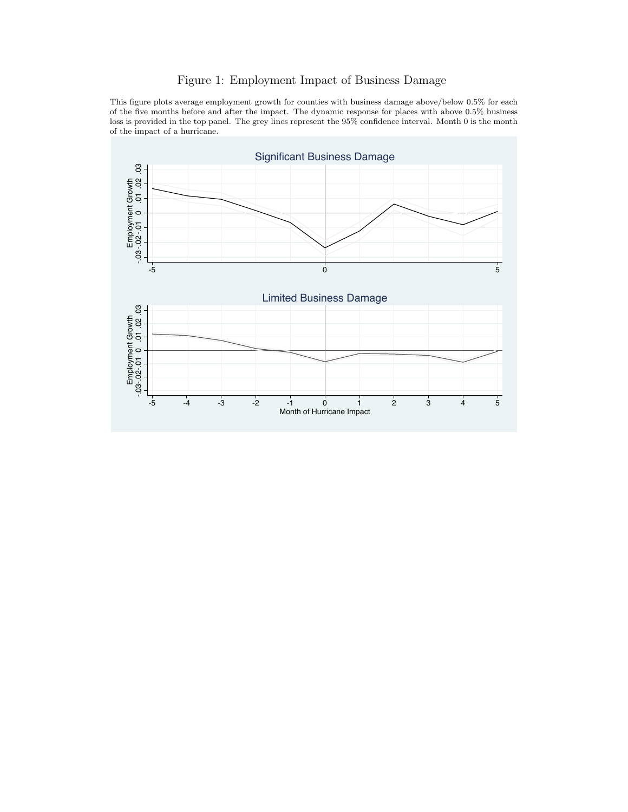## Figure 1: Employment Impact of Business Damage

This figure plots average employment growth for counties with business damage above/below 0.5% for each of the five months before and after the impact. The dynamic response for places with above 0.5% business loss is provided in the top panel. The grey lines represent the 95% confidence interval. Month 0 is the month of the impact of a hurricane.

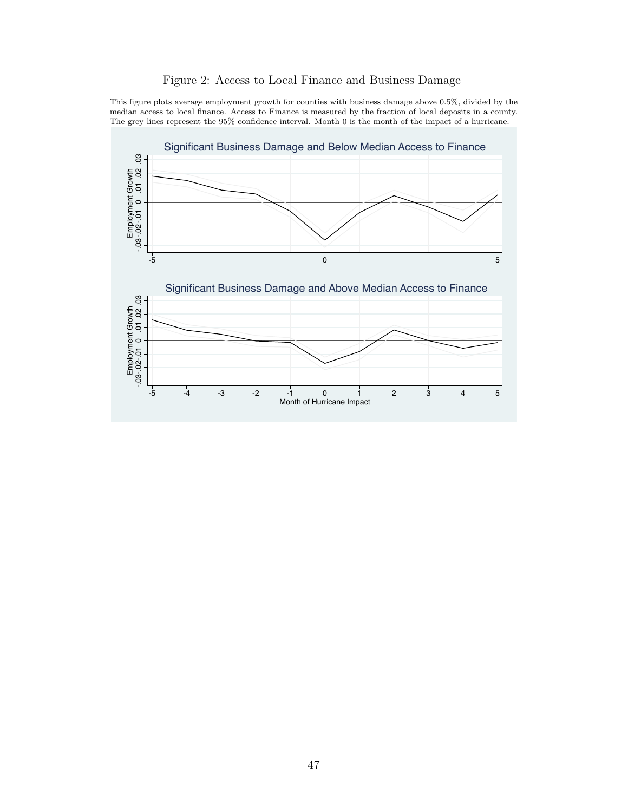## Figure 2: Access to Local Finance and Business Damage

This figure plots average employment growth for counties with business damage above 0.5%, divided by the median access to local finance. Access to Finance is measured by the fraction of local deposits in a county. The grey lines represent the 95% confidence interval. Month 0 is the month of the impact of a hurricane.

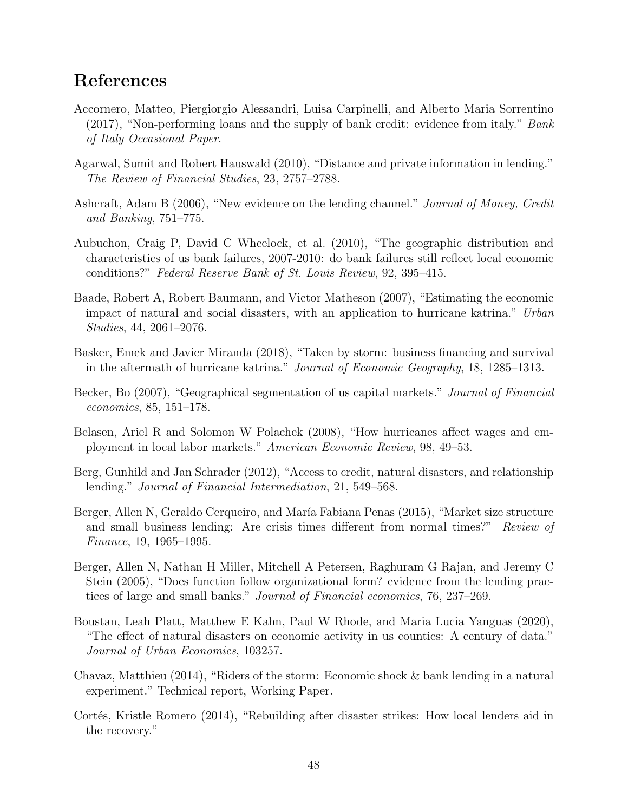# References

- Accornero, Matteo, Piergiorgio Alessandri, Luisa Carpinelli, and Alberto Maria Sorrentino (2017), "Non-performing loans and the supply of bank credit: evidence from italy." Bank of Italy Occasional Paper.
- Agarwal, Sumit and Robert Hauswald (2010), "Distance and private information in lending." The Review of Financial Studies, 23, 2757–2788.
- Ashcraft, Adam B (2006), "New evidence on the lending channel." Journal of Money, Credit and Banking, 751–775.
- Aubuchon, Craig P, David C Wheelock, et al. (2010), "The geographic distribution and characteristics of us bank failures, 2007-2010: do bank failures still reflect local economic conditions?" Federal Reserve Bank of St. Louis Review, 92, 395–415.
- Baade, Robert A, Robert Baumann, and Victor Matheson (2007), "Estimating the economic impact of natural and social disasters, with an application to hurricane katrina." Urban Studies, 44, 2061–2076.
- Basker, Emek and Javier Miranda (2018), "Taken by storm: business financing and survival in the aftermath of hurricane katrina." Journal of Economic Geography, 18, 1285–1313.
- Becker, Bo (2007), "Geographical segmentation of us capital markets." *Journal of Financial* economics, 85, 151–178.
- Belasen, Ariel R and Solomon W Polachek (2008), "How hurricanes affect wages and employment in local labor markets." American Economic Review, 98, 49–53.
- Berg, Gunhild and Jan Schrader (2012), "Access to credit, natural disasters, and relationship lending." Journal of Financial Intermediation, 21, 549–568.
- Berger, Allen N, Geraldo Cerqueiro, and María Fabiana Penas (2015), "Market size structure and small business lending: Are crisis times different from normal times?" Review of Finance, 19, 1965–1995.
- Berger, Allen N, Nathan H Miller, Mitchell A Petersen, Raghuram G Rajan, and Jeremy C Stein (2005), "Does function follow organizational form? evidence from the lending practices of large and small banks." Journal of Financial economics, 76, 237–269.
- Boustan, Leah Platt, Matthew E Kahn, Paul W Rhode, and Maria Lucia Yanguas (2020), "The effect of natural disasters on economic activity in us counties: A century of data." Journal of Urban Economics, 103257.
- Chavaz, Matthieu (2014), "Riders of the storm: Economic shock & bank lending in a natural experiment." Technical report, Working Paper.
- Cortés, Kristle Romero (2014), "Rebuilding after disaster strikes: How local lenders aid in the recovery."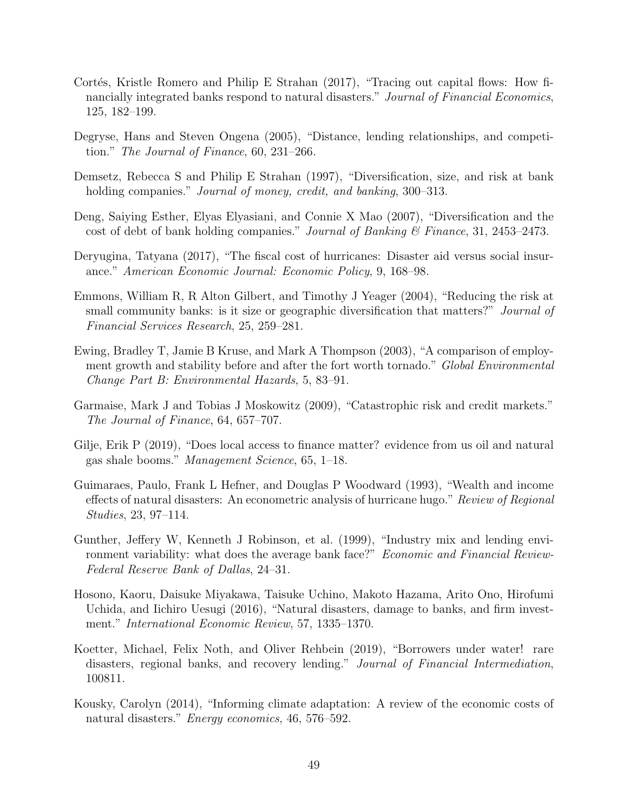- Cortés, Kristle Romero and Philip E Strahan  $(2017)$ , "Tracing out capital flows: How financially integrated banks respond to natural disasters." Journal of Financial Economics, 125, 182–199.
- Degryse, Hans and Steven Ongena (2005), "Distance, lending relationships, and competition." The Journal of Finance, 60, 231–266.
- Demsetz, Rebecca S and Philip E Strahan (1997), "Diversification, size, and risk at bank holding companies." *Journal of money, credit, and banking*, 300–313.
- Deng, Saiying Esther, Elyas Elyasiani, and Connie X Mao (2007), "Diversification and the cost of debt of bank holding companies." Journal of Banking & Finance, 31, 2453–2473.
- Deryugina, Tatyana (2017), "The fiscal cost of hurricanes: Disaster aid versus social insurance." American Economic Journal: Economic Policy, 9, 168–98.
- Emmons, William R, R Alton Gilbert, and Timothy J Yeager (2004), "Reducing the risk at small community banks: is it size or geographic diversification that matters?" Journal of Financial Services Research, 25, 259–281.
- Ewing, Bradley T, Jamie B Kruse, and Mark A Thompson (2003), "A comparison of employment growth and stability before and after the fort worth tornado." *Global Environmental* Change Part B: Environmental Hazards, 5, 83–91.
- Garmaise, Mark J and Tobias J Moskowitz (2009), "Catastrophic risk and credit markets." The Journal of Finance, 64, 657–707.
- Gilje, Erik P (2019), "Does local access to finance matter? evidence from us oil and natural gas shale booms." Management Science, 65, 1–18.
- Guimaraes, Paulo, Frank L Hefner, and Douglas P Woodward (1993), "Wealth and income effects of natural disasters: An econometric analysis of hurricane hugo." Review of Regional Studies, 23, 97–114.
- Gunther, Jeffery W, Kenneth J Robinson, et al. (1999), "Industry mix and lending environment variability: what does the average bank face?" Economic and Financial Review-Federal Reserve Bank of Dallas, 24–31.
- Hosono, Kaoru, Daisuke Miyakawa, Taisuke Uchino, Makoto Hazama, Arito Ono, Hirofumi Uchida, and Iichiro Uesugi (2016), "Natural disasters, damage to banks, and firm investment." International Economic Review, 57, 1335–1370.
- Koetter, Michael, Felix Noth, and Oliver Rehbein (2019), "Borrowers under water! rare disasters, regional banks, and recovery lending." Journal of Financial Intermediation, 100811.
- Kousky, Carolyn (2014), "Informing climate adaptation: A review of the economic costs of natural disasters." Energy economics, 46, 576–592.